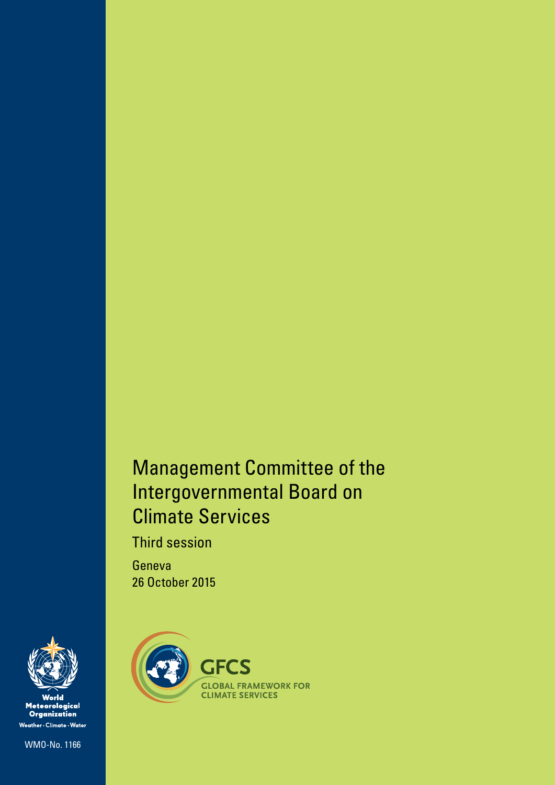# Management Committee of the Intergovernmental Board on Climate Services

Third session

Geneva 26 October 2015



**World** Meteorological<br>Organization  $Weather \cdot Climate \cdot Water$ 

WMO-No. 1166

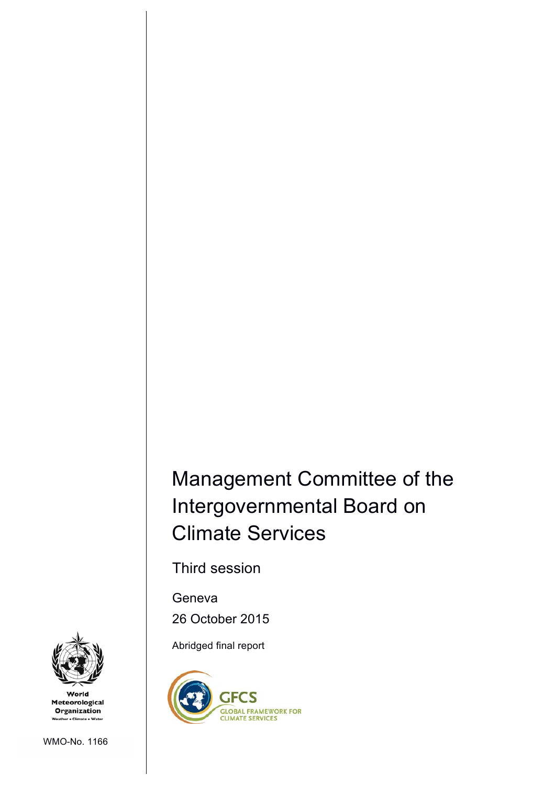# Management Committee of the Intergovernmental Board on Climate Services

Third session

Geneva

26 October 2015

Abridged final report





World Meteorological **Organization** Weather . Climate . Water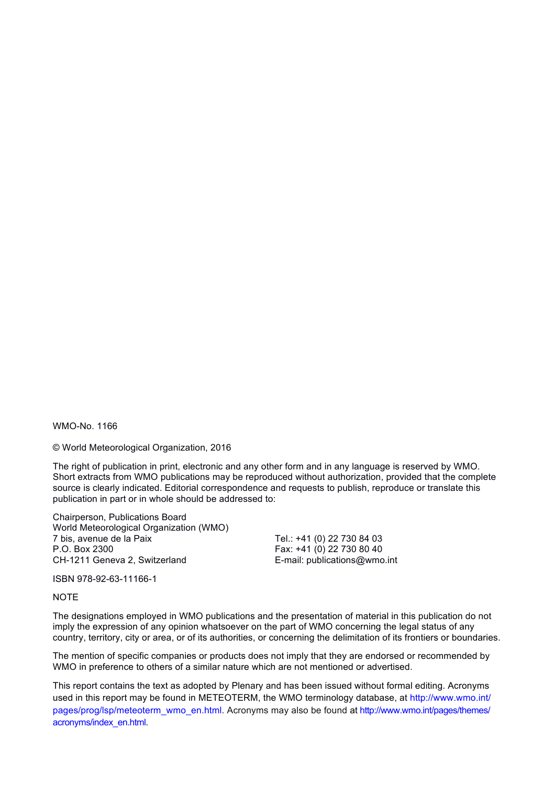WMO-No. 1166

© World Meteorological Organization, 2016

The right of publication in print, electronic and any other form and in any language is reserved by WMO. Short extracts from WMO publications may be reproduced without authorization, provided that the complete source is clearly indicated. Editorial correspondence and requests to publish, reproduce or translate this publication in part or in whole should be addressed to:

Chairperson, Publications Board World Meteorological Organization (WMO)<br>7 bis. avenue de la Paix 7 bis, avenue de la Paix Tel.: +41 (0) 22 730 84 03<br>P.O. Box 2300 10 10 22 730 80 40 CH-1211 Geneva 2, Switzerland E-mail: publications@wmo.int

Fax:  $+41(0)$  22 730 80 40

ISBN 978-92-63-11166-1

**NOTE** 

The designations employed in WMO publications and the presentation of material in this publication do not imply the expression of any opinion whatsoever on the part of WMO concerning the legal status of any country, territory, city or area, or of its authorities, or concerning the delimitation of its frontiers or boundaries.

The mention of specific companies or products does not imply that they are endorsed or recommended by WMO in preference to others of a similar nature which are not mentioned or advertised.

This report contains the text as adopted by Plenary and has been issued without formal editing. Acronyms used in this report may be found in METEOTERM, the WMO terminology database, at http://www.wmo.int/ pages/prog/lsp/meteoterm\_wmo\_en.html. Acronyms may also be found at http://www.wmo.int/pages/themes/ acronyms/index\_en.html.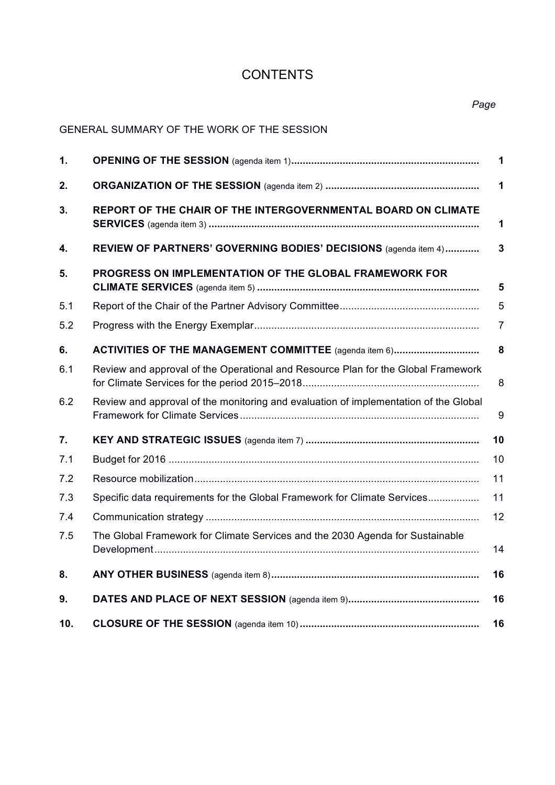## **CONTENTS**

### GENERAL SUMMARY OF THE WORK OF THE SESSION

| 1.  |                                                                                      | 1            |
|-----|--------------------------------------------------------------------------------------|--------------|
| 2.  |                                                                                      | 1            |
| 3.  | REPORT OF THE CHAIR OF THE INTERGOVERNMENTAL BOARD ON CLIMATE                        | 1            |
| 4.  | REVIEW OF PARTNERS' GOVERNING BODIES' DECISIONS (agenda item 4)                      | $\mathbf{3}$ |
| 5.  | PROGRESS ON IMPLEMENTATION OF THE GLOBAL FRAMEWORK FOR                               | 5            |
| 5.1 |                                                                                      | 5            |
| 5.2 |                                                                                      | 7            |
| 6.  | ACTIVITIES OF THE MANAGEMENT COMMITTEE (agenda item 6)                               | 8            |
| 6.1 | Review and approval of the Operational and Resource Plan for the Global Framework    | 8            |
| 6.2 | Review and approval of the monitoring and evaluation of implementation of the Global | 9            |
| 7.  |                                                                                      | 10           |
| 7.1 |                                                                                      | 10           |
| 7.2 |                                                                                      | 11           |
| 7.3 | Specific data requirements for the Global Framework for Climate Services             | 11           |
| 7.4 |                                                                                      | 12           |
| 7.5 | The Global Framework for Climate Services and the 2030 Agenda for Sustainable        | 14           |
| 8.  |                                                                                      | 16           |
| 9.  |                                                                                      | 16           |
| 10. |                                                                                      | 16           |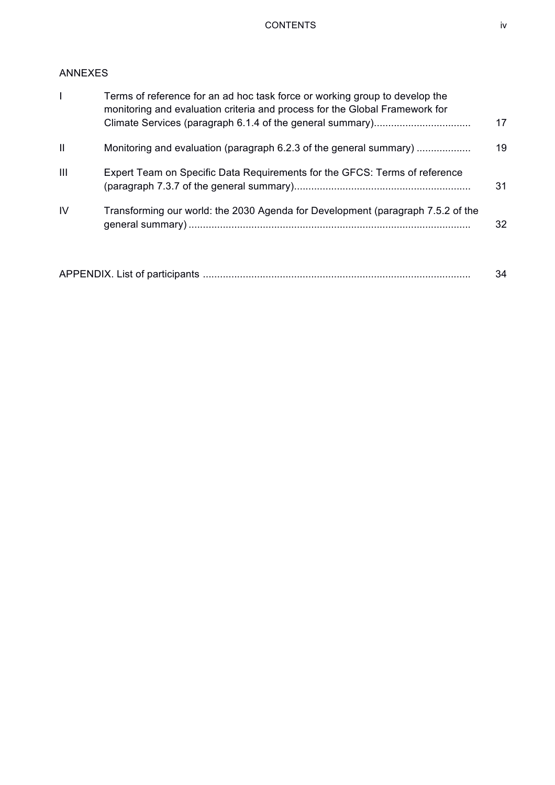### ANNEXES

|              | Terms of reference for an ad hoc task force or working group to develop the<br>monitoring and evaluation criteria and process for the Global Framework for | 17 |
|--------------|------------------------------------------------------------------------------------------------------------------------------------------------------------|----|
| $\mathbf{H}$ | Monitoring and evaluation (paragraph 6.2.3 of the general summary)                                                                                         | 19 |
| III          | Expert Team on Specific Data Requirements for the GFCS: Terms of reference                                                                                 | 31 |
| IV           | Transforming our world: the 2030 Agenda for Development (paragraph 7.5.2 of the                                                                            | 32 |

|--|--|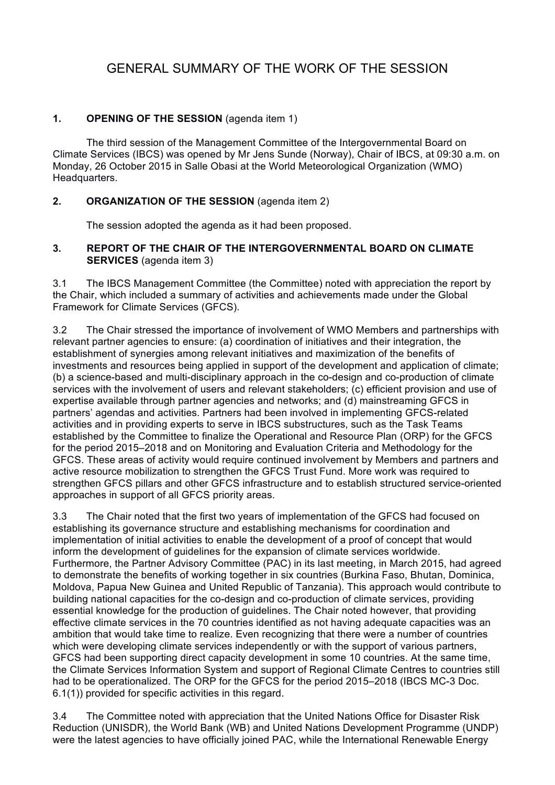### GENERAL SUMMARY OF THE WORK OF THE SESSION

### **1. OPENING OF THE SESSION** (agenda item 1)

The third session of the Management Committee of the Intergovernmental Board on Climate Services (IBCS) was opened by Mr Jens Sunde (Norway), Chair of IBCS, at 09:30 a.m. on Monday, 26 October 2015 in Salle Obasi at the World Meteorological Organization (WMO) Headquarters.

### **2. ORGANIZATION OF THE SESSION** (agenda item 2)

The session adopted the agenda as it had been proposed.

### **3. REPORT OF THE CHAIR OF THE INTERGOVERNMENTAL BOARD ON CLIMATE SERVICES** (agenda item 3)

3.1 The IBCS Management Committee (the Committee) noted with appreciation the report by the Chair, which included a summary of activities and achievements made under the Global Framework for Climate Services (GFCS).

3.2 The Chair stressed the importance of involvement of WMO Members and partnerships with relevant partner agencies to ensure: (a) coordination of initiatives and their integration, the establishment of synergies among relevant initiatives and maximization of the benefits of investments and resources being applied in support of the development and application of climate; (b) a science-based and multi-disciplinary approach in the co-design and co-production of climate services with the involvement of users and relevant stakeholders; (c) efficient provision and use of expertise available through partner agencies and networks; and (d) mainstreaming GFCS in partners' agendas and activities. Partners had been involved in implementing GFCS-related activities and in providing experts to serve in IBCS substructures, such as the Task Teams established by the Committee to finalize the Operational and Resource Plan (ORP) for the GFCS for the period 2015–2018 and on Monitoring and Evaluation Criteria and Methodology for the GFCS. These areas of activity would require continued involvement by Members and partners and active resource mobilization to strengthen the GFCS Trust Fund. More work was required to strengthen GFCS pillars and other GFCS infrastructure and to establish structured service-oriented approaches in support of all GFCS priority areas.

3.3 The Chair noted that the first two years of implementation of the GFCS had focused on establishing its governance structure and establishing mechanisms for coordination and implementation of initial activities to enable the development of a proof of concept that would inform the development of guidelines for the expansion of climate services worldwide. Furthermore, the Partner Advisory Committee (PAC) in its last meeting, in March 2015, had agreed to demonstrate the benefits of working together in six countries (Burkina Faso, Bhutan, Dominica, Moldova, Papua New Guinea and United Republic of Tanzania). This approach would contribute to building national capacities for the co-design and co-production of climate services, providing essential knowledge for the production of guidelines. The Chair noted however, that providing effective climate services in the 70 countries identified as not having adequate capacities was an ambition that would take time to realize. Even recognizing that there were a number of countries which were developing climate services independently or with the support of various partners, GFCS had been supporting direct capacity development in some 10 countries. At the same time, the Climate Services Information System and support of Regional Climate Centres to countries still had to be operationalized. The ORP for the GFCS for the period 2015–2018 (IBCS MC-3 Doc. 6.1(1)) provided for specific activities in this regard.

3.4 The Committee noted with appreciation that the United Nations Office for Disaster Risk Reduction (UNISDR), the World Bank (WB) and United Nations Development Programme (UNDP) were the latest agencies to have officially joined PAC, while the International Renewable Energy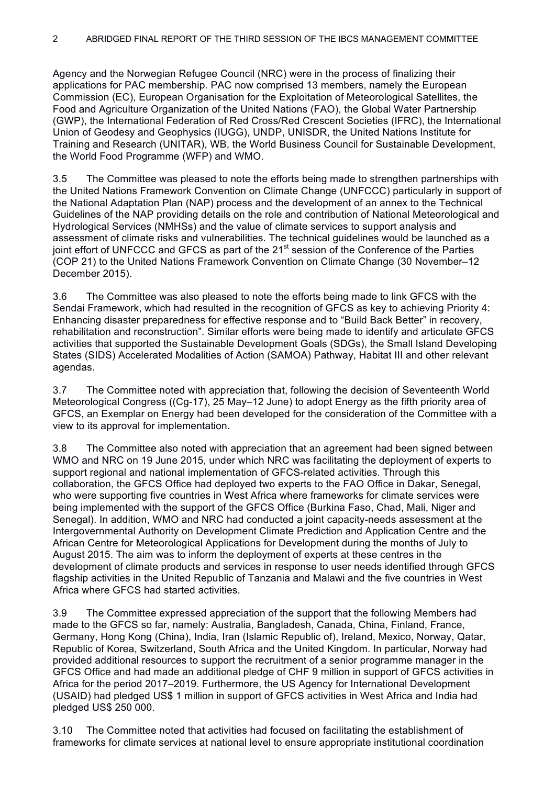Agency and the Norwegian Refugee Council (NRC) were in the process of finalizing their applications for PAC membership. PAC now comprised 13 members, namely the European Commission (EC), European Organisation for the Exploitation of Meteorological Satellites, the Food and Agriculture Organization of the United Nations (FAO), the Global Water Partnership (GWP), the International Federation of Red Cross/Red Crescent Societies (IFRC), the International Union of Geodesy and Geophysics (IUGG), UNDP, UNISDR, the United Nations Institute for Training and Research (UNITAR), WB, the World Business Council for Sustainable Development, the World Food Programme (WFP) and WMO.

3.5 The Committee was pleased to note the efforts being made to strengthen partnerships with the United Nations Framework Convention on Climate Change (UNFCCC) particularly in support of the National Adaptation Plan (NAP) process and the development of an annex to the Technical Guidelines of the NAP providing details on the role and contribution of National Meteorological and Hydrological Services (NMHSs) and the value of climate services to support analysis and assessment of climate risks and vulnerabilities. The technical guidelines would be launched as a joint effort of UNFCCC and GFCS as part of the 21<sup>st</sup> session of the Conference of the Parties (COP 21) to the United Nations Framework Convention on Climate Change (30 November–12 December 2015).

3.6 The Committee was also pleased to note the efforts being made to link GFCS with the Sendai Framework, which had resulted in the recognition of GFCS as key to achieving Priority 4: Enhancing disaster preparedness for effective response and to "Build Back Better" in recovery, rehabilitation and reconstruction". Similar efforts were being made to identify and articulate GFCS activities that supported the Sustainable Development Goals (SDGs), the Small Island Developing States (SIDS) Accelerated Modalities of Action (SAMOA) Pathway, Habitat III and other relevant agendas.

3.7 The Committee noted with appreciation that, following the decision of Seventeenth World Meteorological Congress ((Cg-17), 25 May–12 June) to adopt Energy as the fifth priority area of GFCS, an Exemplar on Energy had been developed for the consideration of the Committee with a view to its approval for implementation.

3.8 The Committee also noted with appreciation that an agreement had been signed between WMO and NRC on 19 June 2015, under which NRC was facilitating the deployment of experts to support regional and national implementation of GFCS-related activities. Through this collaboration, the GFCS Office had deployed two experts to the FAO Office in Dakar, Senegal, who were supporting five countries in West Africa where frameworks for climate services were being implemented with the support of the GFCS Office (Burkina Faso, Chad, Mali, Niger and Senegal). In addition, WMO and NRC had conducted a joint capacity-needs assessment at the Intergovernmental Authority on Development Climate Prediction and Application Centre and the African Centre for Meteorological Applications for Development during the months of July to August 2015. The aim was to inform the deployment of experts at these centres in the development of climate products and services in response to user needs identified through GFCS flagship activities in the United Republic of Tanzania and Malawi and the five countries in West Africa where GFCS had started activities.

3.9 The Committee expressed appreciation of the support that the following Members had made to the GFCS so far, namely: Australia, Bangladesh, Canada, China, Finland, France, Germany, Hong Kong (China), India, Iran (Islamic Republic of), Ireland, Mexico, Norway, Qatar, Republic of Korea, Switzerland, South Africa and the United Kingdom. In particular, Norway had provided additional resources to support the recruitment of a senior programme manager in the GFCS Office and had made an additional pledge of CHF 9 million in support of GFCS activities in Africa for the period 2017–2019. Furthermore, the US Agency for International Development (USAID) had pledged US\$ 1 million in support of GFCS activities in West Africa and India had pledged US\$ 250 000.

3.10 The Committee noted that activities had focused on facilitating the establishment of frameworks for climate services at national level to ensure appropriate institutional coordination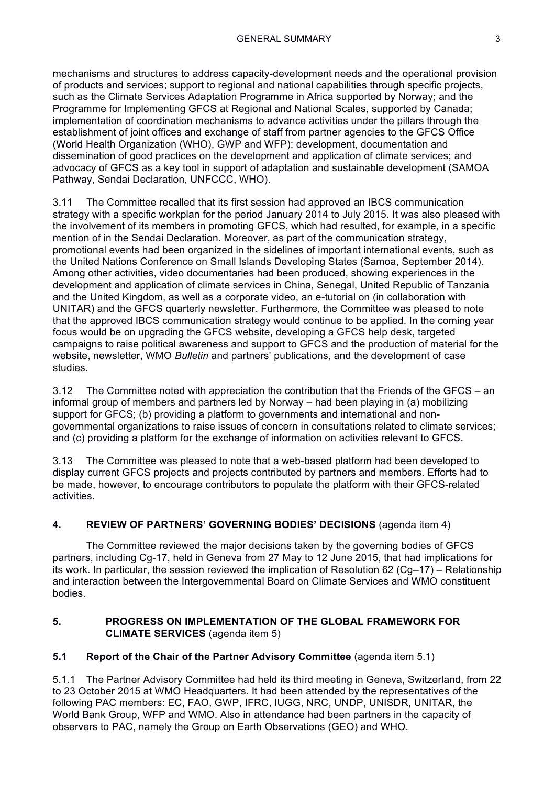mechanisms and structures to address capacity-development needs and the operational provision of products and services; support to regional and national capabilities through specific projects, such as the Climate Services Adaptation Programme in Africa supported by Norway; and the Programme for Implementing GFCS at Regional and National Scales, supported by Canada; implementation of coordination mechanisms to advance activities under the pillars through the establishment of joint offices and exchange of staff from partner agencies to the GFCS Office (World Health Organization (WHO), GWP and WFP); development, documentation and dissemination of good practices on the development and application of climate services; and advocacy of GFCS as a key tool in support of adaptation and sustainable development (SAMOA Pathway, Sendai Declaration, UNFCCC, WHO).

3.11 The Committee recalled that its first session had approved an IBCS communication strategy with a specific workplan for the period January 2014 to July 2015. It was also pleased with the involvement of its members in promoting GFCS, which had resulted, for example, in a specific mention of in the Sendai Declaration. Moreover, as part of the communication strategy, promotional events had been organized in the sidelines of important international events, such as the United Nations Conference on Small Islands Developing States (Samoa, September 2014). Among other activities, video documentaries had been produced, showing experiences in the development and application of climate services in China, Senegal, United Republic of Tanzania and the United Kingdom, as well as a corporate video, an e-tutorial on (in collaboration with UNITAR) and the GFCS quarterly newsletter. Furthermore, the Committee was pleased to note that the approved IBCS communication strategy would continue to be applied. In the coming year focus would be on upgrading the GFCS website, developing a GFCS help desk, targeted campaigns to raise political awareness and support to GFCS and the production of material for the website, newsletter, WMO *Bulletin* and partners' publications, and the development of case studies.

3.12 The Committee noted with appreciation the contribution that the Friends of the GFCS – an informal group of members and partners led by Norway – had been playing in (a) mobilizing support for GFCS; (b) providing a platform to governments and international and nongovernmental organizations to raise issues of concern in consultations related to climate services; and (c) providing a platform for the exchange of information on activities relevant to GFCS.

3.13 The Committee was pleased to note that a web-based platform had been developed to display current GFCS projects and projects contributed by partners and members. Efforts had to be made, however, to encourage contributors to populate the platform with their GFCS-related activities.

### **4. REVIEW OF PARTNERS' GOVERNING BODIES' DECISIONS** (agenda item 4)

The Committee reviewed the major decisions taken by the governing bodies of GFCS partners, including Cg-17, held in Geneva from 27 May to 12 June 2015, that had implications for its work. In particular, the session reviewed the implication of Resolution 62 (Cg–17) – Relationship and interaction between the Intergovernmental Board on Climate Services and WMO constituent bodies.

### **5. PROGRESS ON IMPLEMENTATION OF THE GLOBAL FRAMEWORK FOR CLIMATE SERVICES** (agenda item 5)

### **5.1 Report of the Chair of the Partner Advisory Committee** (agenda item 5.1)

5.1.1 The Partner Advisory Committee had held its third meeting in Geneva, Switzerland, from 22 to 23 October 2015 at WMO Headquarters. It had been attended by the representatives of the following PAC members: EC, FAO, GWP, IFRC, IUGG, NRC, UNDP, UNISDR, UNITAR, the World Bank Group, WFP and WMO. Also in attendance had been partners in the capacity of observers to PAC, namely the Group on Earth Observations (GEO) and WHO.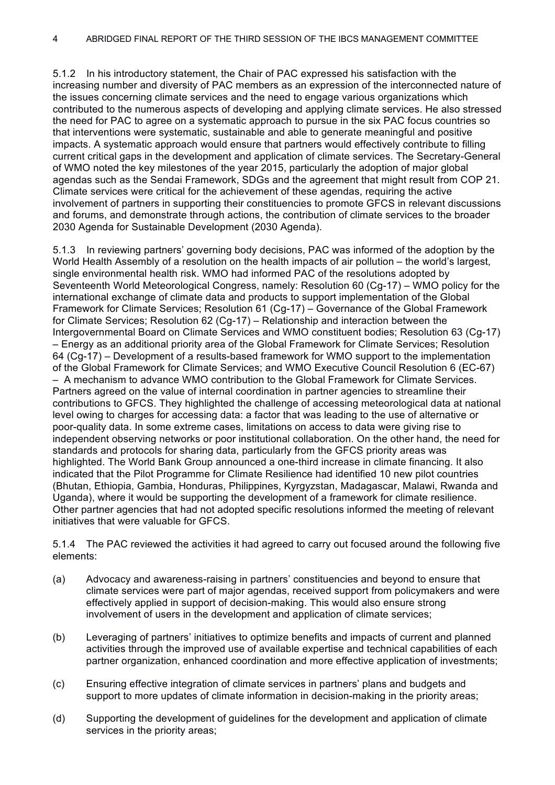5.1.2 In his introductory statement, the Chair of PAC expressed his satisfaction with the increasing number and diversity of PAC members as an expression of the interconnected nature of the issues concerning climate services and the need to engage various organizations which contributed to the numerous aspects of developing and applying climate services. He also stressed the need for PAC to agree on a systematic approach to pursue in the six PAC focus countries so that interventions were systematic, sustainable and able to generate meaningful and positive impacts. A systematic approach would ensure that partners would effectively contribute to filling current critical gaps in the development and application of climate services. The Secretary-General of WMO noted the key milestones of the year 2015, particularly the adoption of major global agendas such as the Sendai Framework, SDGs and the agreement that might result from COP 21. Climate services were critical for the achievement of these agendas, requiring the active involvement of partners in supporting their constituencies to promote GFCS in relevant discussions and forums, and demonstrate through actions, the contribution of climate services to the broader 2030 Agenda for Sustainable Development (2030 Agenda).

5.1.3 In reviewing partners' governing body decisions, PAC was informed of the adoption by the World Health Assembly of a resolution on the health impacts of air pollution – the world's largest, single environmental health risk. WMO had informed PAC of the resolutions adopted by Seventeenth World Meteorological Congress, namely: Resolution 60 (Cg-17) – WMO policy for the international exchange of climate data and products to support implementation of the Global Framework for Climate Services; Resolution 61 (Cg-17) – Governance of the Global Framework for Climate Services; Resolution 62 (Cg-17) – Relationship and interaction between the Intergovernmental Board on Climate Services and WMO constituent bodies; Resolution 63 (Cg-17) – Energy as an additional priority area of the Global Framework for Climate Services; Resolution 64 (Cg-17) – Development of a results-based framework for WMO support to the implementation of the Global Framework for Climate Services; and WMO Executive Council Resolution 6 (EC-67) – A mechanism to advance WMO contribution to the Global Framework for Climate Services. Partners agreed on the value of internal coordination in partner agencies to streamline their contributions to GFCS. They highlighted the challenge of accessing meteorological data at national level owing to charges for accessing data: a factor that was leading to the use of alternative or poor-quality data. In some extreme cases, limitations on access to data were giving rise to independent observing networks or poor institutional collaboration. On the other hand, the need for standards and protocols for sharing data, particularly from the GFCS priority areas was highlighted. The World Bank Group announced a one-third increase in climate financing. It also indicated that the Pilot Programme for Climate Resilience had identified 10 new pilot countries (Bhutan, Ethiopia, Gambia, Honduras, Philippines, Kyrgyzstan, Madagascar, Malawi, Rwanda and Uganda), where it would be supporting the development of a framework for climate resilience. Other partner agencies that had not adopted specific resolutions informed the meeting of relevant initiatives that were valuable for GFCS.

5.1.4 The PAC reviewed the activities it had agreed to carry out focused around the following five elements:

- (a) Advocacy and awareness-raising in partners' constituencies and beyond to ensure that climate services were part of major agendas, received support from policymakers and were effectively applied in support of decision-making. This would also ensure strong involvement of users in the development and application of climate services;
- (b) Leveraging of partners' initiatives to optimize benefits and impacts of current and planned activities through the improved use of available expertise and technical capabilities of each partner organization, enhanced coordination and more effective application of investments;
- (c) Ensuring effective integration of climate services in partners' plans and budgets and support to more updates of climate information in decision-making in the priority areas;
- (d) Supporting the development of guidelines for the development and application of climate services in the priority areas;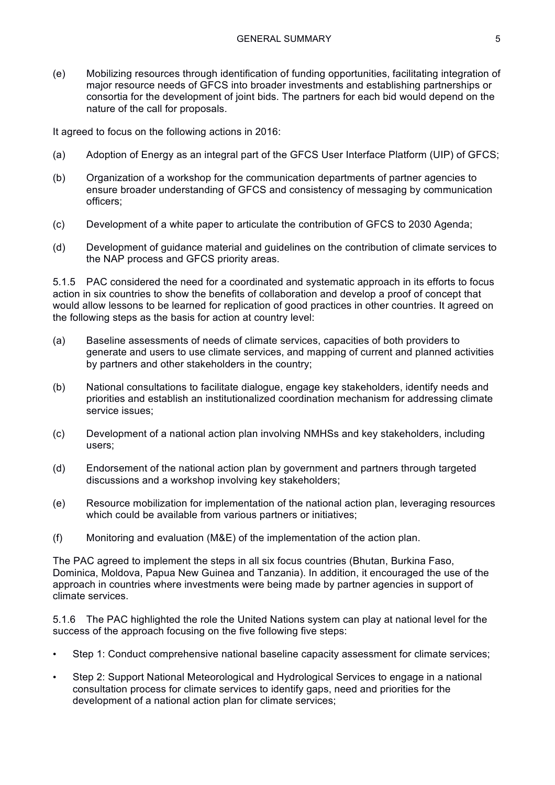(e) Mobilizing resources through identification of funding opportunities, facilitating integration of major resource needs of GFCS into broader investments and establishing partnerships or consortia for the development of joint bids. The partners for each bid would depend on the nature of the call for proposals.

It agreed to focus on the following actions in 2016:

- (a) Adoption of Energy as an integral part of the GFCS User Interface Platform (UIP) of GFCS;
- (b) Organization of a workshop for the communication departments of partner agencies to ensure broader understanding of GFCS and consistency of messaging by communication officers;
- (c) Development of a white paper to articulate the contribution of GFCS to 2030 Agenda;
- (d) Development of guidance material and guidelines on the contribution of climate services to the NAP process and GFCS priority areas.

5.1.5 PAC considered the need for a coordinated and systematic approach in its efforts to focus action in six countries to show the benefits of collaboration and develop a proof of concept that would allow lessons to be learned for replication of good practices in other countries. It agreed on the following steps as the basis for action at country level:

- (a) Baseline assessments of needs of climate services, capacities of both providers to generate and users to use climate services, and mapping of current and planned activities by partners and other stakeholders in the country;
- (b) National consultations to facilitate dialogue, engage key stakeholders, identify needs and priorities and establish an institutionalized coordination mechanism for addressing climate service issues;
- (c) Development of a national action plan involving NMHSs and key stakeholders, including users;
- (d) Endorsement of the national action plan by government and partners through targeted discussions and a workshop involving key stakeholders;
- (e) Resource mobilization for implementation of the national action plan, leveraging resources which could be available from various partners or initiatives;
- (f) Monitoring and evaluation (M&E) of the implementation of the action plan.

The PAC agreed to implement the steps in all six focus countries (Bhutan, Burkina Faso, Dominica, Moldova, Papua New Guinea and Tanzania). In addition, it encouraged the use of the approach in countries where investments were being made by partner agencies in support of climate services.

5.1.6 The PAC highlighted the role the United Nations system can play at national level for the success of the approach focusing on the five following five steps:

- Step 1: Conduct comprehensive national baseline capacity assessment for climate services;
- Step 2: Support National Meteorological and Hydrological Services to engage in a national consultation process for climate services to identify gaps, need and priorities for the development of a national action plan for climate services;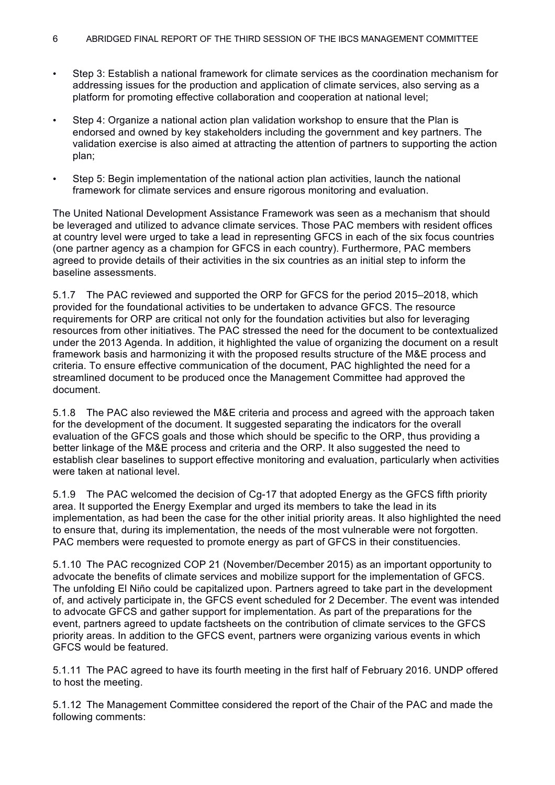- Step 3: Establish a national framework for climate services as the coordination mechanism for addressing issues for the production and application of climate services, also serving as a platform for promoting effective collaboration and cooperation at national level;
- Step 4: Organize a national action plan validation workshop to ensure that the Plan is endorsed and owned by key stakeholders including the government and key partners. The validation exercise is also aimed at attracting the attention of partners to supporting the action plan;
- Step 5: Begin implementation of the national action plan activities, launch the national framework for climate services and ensure rigorous monitoring and evaluation.

The United National Development Assistance Framework was seen as a mechanism that should be leveraged and utilized to advance climate services. Those PAC members with resident offices at country level were urged to take a lead in representing GFCS in each of the six focus countries (one partner agency as a champion for GFCS in each country). Furthermore, PAC members agreed to provide details of their activities in the six countries as an initial step to inform the baseline assessments.

5.1.7 The PAC reviewed and supported the ORP for GFCS for the period 2015–2018, which provided for the foundational activities to be undertaken to advance GFCS. The resource requirements for ORP are critical not only for the foundation activities but also for leveraging resources from other initiatives. The PAC stressed the need for the document to be contextualized under the 2013 Agenda. In addition, it highlighted the value of organizing the document on a result framework basis and harmonizing it with the proposed results structure of the M&E process and criteria. To ensure effective communication of the document, PAC highlighted the need for a streamlined document to be produced once the Management Committee had approved the document.

5.1.8 The PAC also reviewed the M&E criteria and process and agreed with the approach taken for the development of the document. It suggested separating the indicators for the overall evaluation of the GFCS goals and those which should be specific to the ORP, thus providing a better linkage of the M&E process and criteria and the ORP. It also suggested the need to establish clear baselines to support effective monitoring and evaluation, particularly when activities were taken at national level.

5.1.9 The PAC welcomed the decision of Cg-17 that adopted Energy as the GFCS fifth priority area. It supported the Energy Exemplar and urged its members to take the lead in its implementation, as had been the case for the other initial priority areas. It also highlighted the need to ensure that, during its implementation, the needs of the most vulnerable were not forgotten. PAC members were requested to promote energy as part of GFCS in their constituencies.

5.1.10 The PAC recognized COP 21 (November/December 2015) as an important opportunity to advocate the benefits of climate services and mobilize support for the implementation of GFCS. The unfolding El Niño could be capitalized upon. Partners agreed to take part in the development of, and actively participate in, the GFCS event scheduled for 2 December. The event was intended to advocate GFCS and gather support for implementation. As part of the preparations for the event, partners agreed to update factsheets on the contribution of climate services to the GFCS priority areas. In addition to the GFCS event, partners were organizing various events in which GFCS would be featured.

5.1.11 The PAC agreed to have its fourth meeting in the first half of February 2016. UNDP offered to host the meeting.

5.1.12 The Management Committee considered the report of the Chair of the PAC and made the following comments: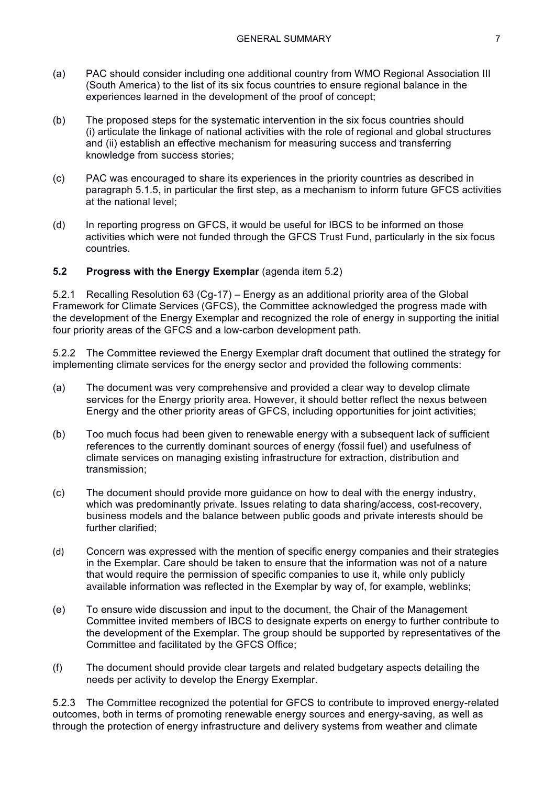- (a) PAC should consider including one additional country from WMO Regional Association III (South America) to the list of its six focus countries to ensure regional balance in the experiences learned in the development of the proof of concept;
- (b) The proposed steps for the systematic intervention in the six focus countries should (i) articulate the linkage of national activities with the role of regional and global structures and (ii) establish an effective mechanism for measuring success and transferring knowledge from success stories;
- (c) PAC was encouraged to share its experiences in the priority countries as described in paragraph 5.1.5, in particular the first step, as a mechanism to inform future GFCS activities at the national level;
- (d) In reporting progress on GFCS, it would be useful for IBCS to be informed on those activities which were not funded through the GFCS Trust Fund, particularly in the six focus countries.

### **5.2 Progress with the Energy Exemplar** (agenda item 5.2)

5.2.1 Recalling Resolution 63 (Cg-17) – Energy as an additional priority area of the Global Framework for Climate Services (GFCS), the Committee acknowledged the progress made with the development of the Energy Exemplar and recognized the role of energy in supporting the initial four priority areas of the GFCS and a low-carbon development path.

5.2.2 The Committee reviewed the Energy Exemplar draft document that outlined the strategy for implementing climate services for the energy sector and provided the following comments:

- (a) The document was very comprehensive and provided a clear way to develop climate services for the Energy priority area. However, it should better reflect the nexus between Energy and the other priority areas of GFCS, including opportunities for joint activities;
- (b) Too much focus had been given to renewable energy with a subsequent lack of sufficient references to the currently dominant sources of energy (fossil fuel) and usefulness of climate services on managing existing infrastructure for extraction, distribution and transmission;
- (c) The document should provide more guidance on how to deal with the energy industry, which was predominantly private. Issues relating to data sharing/access, cost-recovery, business models and the balance between public goods and private interests should be further clarified;
- (d) Concern was expressed with the mention of specific energy companies and their strategies in the Exemplar. Care should be taken to ensure that the information was not of a nature that would require the permission of specific companies to use it, while only publicly available information was reflected in the Exemplar by way of, for example, weblinks;
- (e) To ensure wide discussion and input to the document, the Chair of the Management Committee invited members of IBCS to designate experts on energy to further contribute to the development of the Exemplar. The group should be supported by representatives of the Committee and facilitated by the GFCS Office;
- (f) The document should provide clear targets and related budgetary aspects detailing the needs per activity to develop the Energy Exemplar.

5.2.3 The Committee recognized the potential for GFCS to contribute to improved energy-related outcomes, both in terms of promoting renewable energy sources and energy-saving, as well as through the protection of energy infrastructure and delivery systems from weather and climate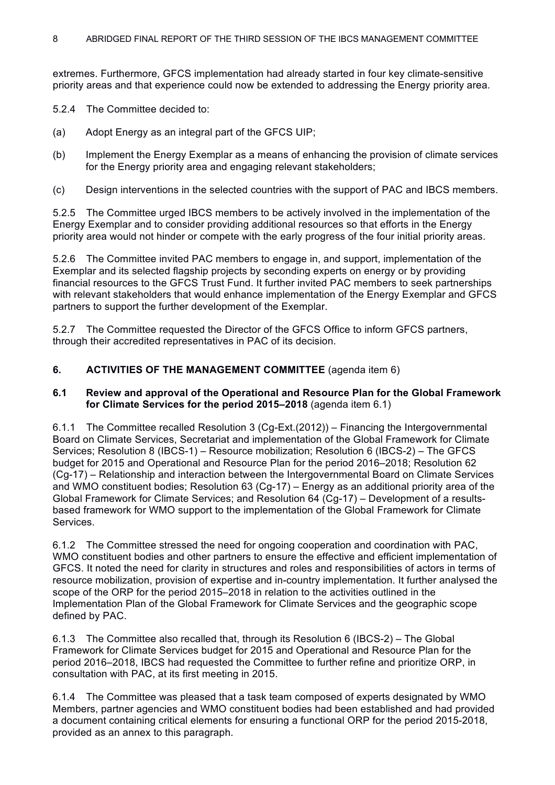extremes. Furthermore, GFCS implementation had already started in four key climate-sensitive priority areas and that experience could now be extended to addressing the Energy priority area.

- 5.2.4 The Committee decided to:
- (a) Adopt Energy as an integral part of the GFCS UIP;
- (b) Implement the Energy Exemplar as a means of enhancing the provision of climate services for the Energy priority area and engaging relevant stakeholders;
- (c) Design interventions in the selected countries with the support of PAC and IBCS members.

5.2.5 The Committee urged IBCS members to be actively involved in the implementation of the Energy Exemplar and to consider providing additional resources so that efforts in the Energy priority area would not hinder or compete with the early progress of the four initial priority areas.

5.2.6 The Committee invited PAC members to engage in, and support, implementation of the Exemplar and its selected flagship projects by seconding experts on energy or by providing financial resources to the GFCS Trust Fund. It further invited PAC members to seek partnerships with relevant stakeholders that would enhance implementation of the Energy Exemplar and GFCS partners to support the further development of the Exemplar.

5.2.7 The Committee requested the Director of the GFCS Office to inform GFCS partners, through their accredited representatives in PAC of its decision.

### **6. ACTIVITIES OF THE MANAGEMENT COMMITTEE** (agenda item 6)

### **6.1 Review and approval of the Operational and Resource Plan for the Global Framework for Climate Services for the period 2015–2018** (agenda item 6.1)

6.1.1 The Committee recalled Resolution 3 (Cg-Ext.(2012)) – Financing the Intergovernmental Board on Climate Services, Secretariat and implementation of the Global Framework for Climate Services; Resolution 8 (IBCS-1) – Resource mobilization; Resolution 6 (IBCS-2) – The GFCS budget for 2015 and Operational and Resource Plan for the period 2016–2018; Resolution 62 (Cg-17) – Relationship and interaction between the Intergovernmental Board on Climate Services and WMO constituent bodies; Resolution 63 (Cg-17) – Energy as an additional priority area of the Global Framework for Climate Services; and Resolution 64 (Cg-17) – Development of a resultsbased framework for WMO support to the implementation of the Global Framework for Climate Services.

6.1.2 The Committee stressed the need for ongoing cooperation and coordination with PAC, WMO constituent bodies and other partners to ensure the effective and efficient implementation of GFCS. It noted the need for clarity in structures and roles and responsibilities of actors in terms of resource mobilization, provision of expertise and in-country implementation. It further analysed the scope of the ORP for the period 2015–2018 in relation to the activities outlined in the Implementation Plan of the Global Framework for Climate Services and the geographic scope defined by PAC.

6.1.3 The Committee also recalled that, through its Resolution 6 (IBCS-2) – The Global Framework for Climate Services budget for 2015 and Operational and Resource Plan for the period 2016–2018, IBCS had requested the Committee to further refine and prioritize ORP, in consultation with PAC, at its first meeting in 2015.

6.1.4 The Committee was pleased that a task team composed of experts designated by WMO Members, partner agencies and WMO constituent bodies had been established and had provided a document containing critical elements for ensuring a functional ORP for the period 2015-2018, provided as an annex to this paragraph.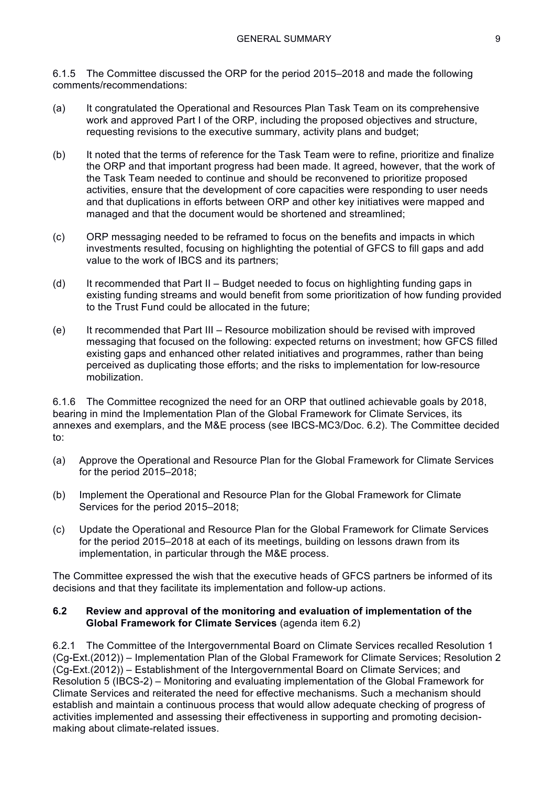6.1.5 The Committee discussed the ORP for the period 2015–2018 and made the following comments/recommendations:

- (a) It congratulated the Operational and Resources Plan Task Team on its comprehensive work and approved Part I of the ORP, including the proposed objectives and structure, requesting revisions to the executive summary, activity plans and budget;
- (b) It noted that the terms of reference for the Task Team were to refine, prioritize and finalize the ORP and that important progress had been made. It agreed, however, that the work of the Task Team needed to continue and should be reconvened to prioritize proposed activities, ensure that the development of core capacities were responding to user needs and that duplications in efforts between ORP and other key initiatives were mapped and managed and that the document would be shortened and streamlined;
- (c) ORP messaging needed to be reframed to focus on the benefits and impacts in which investments resulted, focusing on highlighting the potential of GFCS to fill gaps and add value to the work of IBCS and its partners;
- (d) It recommended that Part II Budget needed to focus on highlighting funding gaps in existing funding streams and would benefit from some prioritization of how funding provided to the Trust Fund could be allocated in the future;
- (e) It recommended that Part III Resource mobilization should be revised with improved messaging that focused on the following: expected returns on investment; how GFCS filled existing gaps and enhanced other related initiatives and programmes, rather than being perceived as duplicating those efforts; and the risks to implementation for low-resource mobilization.

6.1.6 The Committee recognized the need for an ORP that outlined achievable goals by 2018, bearing in mind the Implementation Plan of the Global Framework for Climate Services, its annexes and exemplars, and the M&E process (see IBCS-MC3/Doc. 6.2). The Committee decided to:

- (a) Approve the Operational and Resource Plan for the Global Framework for Climate Services for the period 2015–2018;
- (b) Implement the Operational and Resource Plan for the Global Framework for Climate Services for the period 2015–2018;
- (c) Update the Operational and Resource Plan for the Global Framework for Climate Services for the period 2015–2018 at each of its meetings, building on lessons drawn from its implementation, in particular through the M&E process.

The Committee expressed the wish that the executive heads of GFCS partners be informed of its decisions and that they facilitate its implementation and follow-up actions.

### **6.2 Review and approval of the monitoring and evaluation of implementation of the Global Framework for Climate Services** (agenda item 6.2)

6.2.1 The Committee of the Intergovernmental Board on Climate Services recalled Resolution 1 (Cg-Ext.(2012)) – Implementation Plan of the Global Framework for Climate Services; Resolution 2 (Cg-Ext.(2012)) – Establishment of the Intergovernmental Board on Climate Services; and Resolution 5 (IBCS-2) – Monitoring and evaluating implementation of the Global Framework for Climate Services and reiterated the need for effective mechanisms. Such a mechanism should establish and maintain a continuous process that would allow adequate checking of progress of activities implemented and assessing their effectiveness in supporting and promoting decisionmaking about climate-related issues.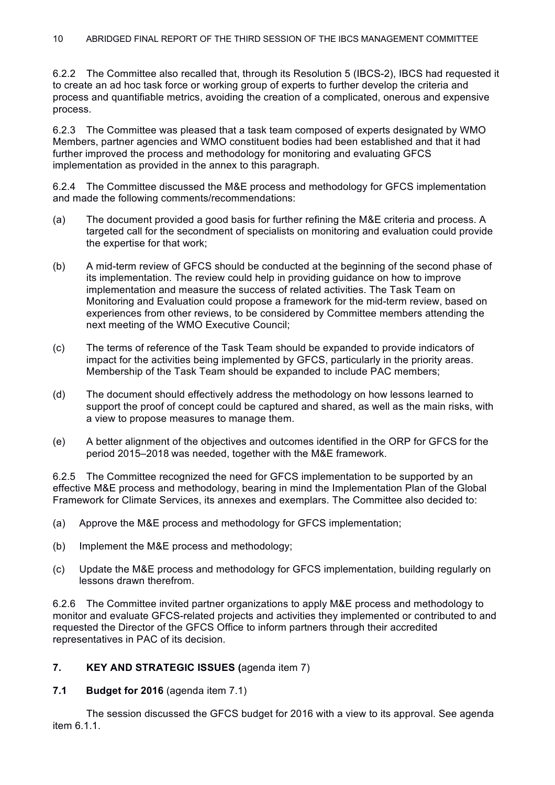6.2.2 The Committee also recalled that, through its Resolution 5 (IBCS-2), IBCS had requested it to create an ad hoc task force or working group of experts to further develop the criteria and process and quantifiable metrics, avoiding the creation of a complicated, onerous and expensive process.

6.2.3 The Committee was pleased that a task team composed of experts designated by WMO Members, partner agencies and WMO constituent bodies had been established and that it had further improved the process and methodology for monitoring and evaluating GFCS implementation as provided in the annex to this paragraph.

6.2.4 The Committee discussed the M&E process and methodology for GFCS implementation and made the following comments/recommendations:

- (a) The document provided a good basis for further refining the M&E criteria and process. A targeted call for the secondment of specialists on monitoring and evaluation could provide the expertise for that work;
- (b) A mid-term review of GFCS should be conducted at the beginning of the second phase of its implementation. The review could help in providing guidance on how to improve implementation and measure the success of related activities. The Task Team on Monitoring and Evaluation could propose a framework for the mid-term review, based on experiences from other reviews, to be considered by Committee members attending the next meeting of the WMO Executive Council;
- (c) The terms of reference of the Task Team should be expanded to provide indicators of impact for the activities being implemented by GFCS, particularly in the priority areas. Membership of the Task Team should be expanded to include PAC members;
- (d) The document should effectively address the methodology on how lessons learned to support the proof of concept could be captured and shared, as well as the main risks, with a view to propose measures to manage them.
- (e) A better alignment of the objectives and outcomes identified in the ORP for GFCS for the period 2015–2018 was needed, together with the M&E framework.

6.2.5 The Committee recognized the need for GFCS implementation to be supported by an effective M&E process and methodology, bearing in mind the Implementation Plan of the Global Framework for Climate Services, its annexes and exemplars. The Committee also decided to:

- (a) Approve the M&E process and methodology for GFCS implementation;
- (b) Implement the M&E process and methodology;
- (c) Update the M&E process and methodology for GFCS implementation, building regularly on lessons drawn therefrom.

6.2.6 The Committee invited partner organizations to apply M&E process and methodology to monitor and evaluate GFCS-related projects and activities they implemented or contributed to and requested the Director of the GFCS Office to inform partners through their accredited representatives in PAC of its decision.

### **7. KEY AND STRATEGIC ISSUES (**agenda item 7)

**7.1 Budget for 2016** (agenda item 7.1)

The session discussed the GFCS budget for 2016 with a view to its approval. See agenda  $item 6.1.1$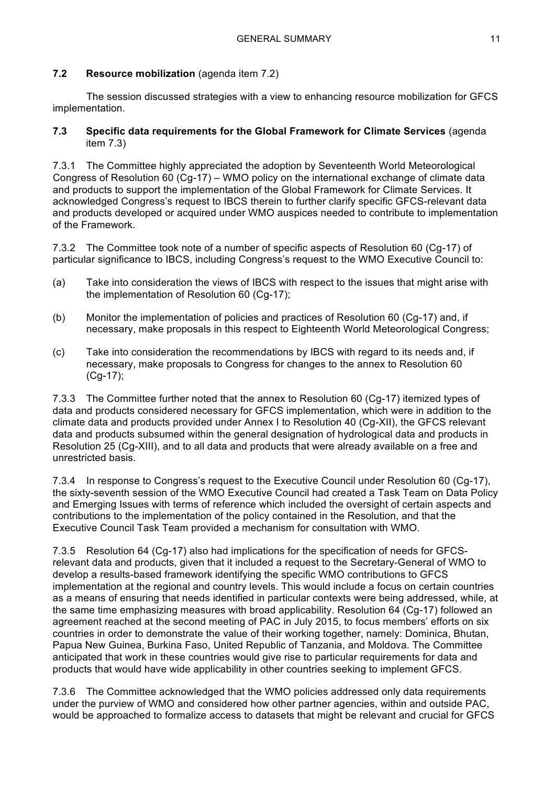### **7.2 Resource mobilization** (agenda item 7.2)

The session discussed strategies with a view to enhancing resource mobilization for GFCS implementation.

### **7.3 Specific data requirements for the Global Framework for Climate Services** (agenda item 7.3)

7.3.1 The Committee highly appreciated the adoption by Seventeenth World Meteorological Congress of Resolution 60 (Cg-17) – WMO policy on the international exchange of climate data and products to support the implementation of the Global Framework for Climate Services. It acknowledged Congress's request to IBCS therein to further clarify specific GFCS-relevant data and products developed or acquired under WMO auspices needed to contribute to implementation of the Framework.

7.3.2 The Committee took note of a number of specific aspects of Resolution 60 (Cg-17) of particular significance to IBCS, including Congress's request to the WMO Executive Council to:

- (a) Take into consideration the views of IBCS with respect to the issues that might arise with the implementation of Resolution 60 (Cg-17);
- (b) Monitor the implementation of policies and practices of Resolution 60 (Cg-17) and, if necessary, make proposals in this respect to Eighteenth World Meteorological Congress;
- (c) Take into consideration the recommendations by IBCS with regard to its needs and, if necessary, make proposals to Congress for changes to the annex to Resolution 60 (Cg-17);

7.3.3 The Committee further noted that the annex to Resolution 60 (Cg-17) itemized types of data and products considered necessary for GFCS implementation, which were in addition to the climate data and products provided under Annex I to Resolution 40 (Cg-XII), the GFCS relevant data and products subsumed within the general designation of hydrological data and products in Resolution 25 (Cg-XIII), and to all data and products that were already available on a free and unrestricted basis.

7.3.4 In response to Congress's request to the Executive Council under Resolution 60 (Cg-17), the sixty-seventh session of the WMO Executive Council had created a Task Team on Data Policy and Emerging Issues with terms of reference which included the oversight of certain aspects and contributions to the implementation of the policy contained in the Resolution, and that the Executive Council Task Team provided a mechanism for consultation with WMO.

7.3.5 Resolution 64 (Cg-17) also had implications for the specification of needs for GFCSrelevant data and products, given that it included a request to the Secretary-General of WMO to develop a results-based framework identifying the specific WMO contributions to GFCS implementation at the regional and country levels. This would include a focus on certain countries as a means of ensuring that needs identified in particular contexts were being addressed, while, at the same time emphasizing measures with broad applicability. Resolution 64 (Cg-17) followed an agreement reached at the second meeting of PAC in July 2015, to focus members' efforts on six countries in order to demonstrate the value of their working together, namely: Dominica, Bhutan, Papua New Guinea, Burkina Faso, United Republic of Tanzania, and Moldova. The Committee anticipated that work in these countries would give rise to particular requirements for data and products that would have wide applicability in other countries seeking to implement GFCS.

7.3.6 The Committee acknowledged that the WMO policies addressed only data requirements under the purview of WMO and considered how other partner agencies, within and outside PAC, would be approached to formalize access to datasets that might be relevant and crucial for GFCS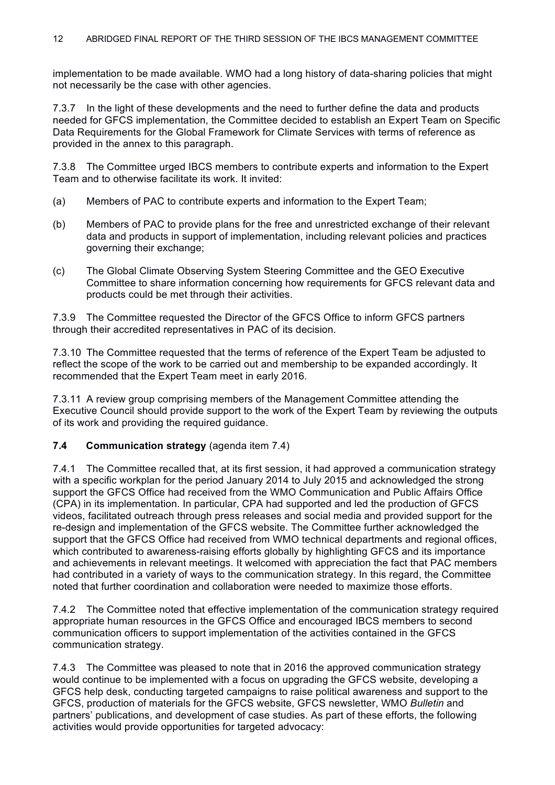implementation to be made available. WMO had a long history of data-sharing policies that might not necessarily be the case with other agencies.

7.3.7 In the light of these developments and the need to further define the data and products needed for GFCS implementation, the Committee decided to establish an Expert Team on Specific Data Requirements for the Global Framework for Climate Services with terms of reference as provided in the annex to this paragraph.

7.3.8 The Committee urged IBCS members to contribute experts and information to the Expert Team and to otherwise facilitate its work. It invited:

- (a) Members of PAC to contribute experts and information to the Expert Team;
- (b) Members of PAC to provide plans for the free and unrestricted exchange of their relevant data and products in support of implementation, including relevant policies and practices governing their exchange;
- (c) The Global Climate Observing System Steering Committee and the GEO Executive Committee to share information concerning how requirements for GFCS relevant data and products could be met through their activities.

7.3.9 The Committee requested the Director of the GFCS Office to inform GFCS partners through their accredited representatives in PAC of its decision.

7.3.10 The Committee requested that the terms of reference of the Expert Team be adjusted to reflect the scope of the work to be carried out and membership to be expanded accordingly. It recommended that the Expert Team meet in early 2016.

7.3.11 A review group comprising members of the Management Committee attending the Executive Council should provide support to the work of the Expert Team by reviewing the outputs of its work and providing the required guidance.

### **7.4 Communication strategy** (agenda item 7.4)

7.4.1 The Committee recalled that, at its first session, it had approved a communication strategy with a specific workplan for the period January 2014 to July 2015 and acknowledged the strong support the GFCS Office had received from the WMO Communication and Public Affairs Office (CPA) in its implementation. In particular, CPA had supported and led the production of GFCS videos, facilitated outreach through press releases and social media and provided support for the re-design and implementation of the GFCS website. The Committee further acknowledged the support that the GFCS Office had received from WMO technical departments and regional offices, which contributed to awareness-raising efforts globally by highlighting GFCS and its importance and achievements in relevant meetings. It welcomed with appreciation the fact that PAC members had contributed in a variety of ways to the communication strategy. In this regard, the Committee noted that further coordination and collaboration were needed to maximize those efforts.

7.4.2 The Committee noted that effective implementation of the communication strategy required appropriate human resources in the GFCS Office and encouraged IBCS members to second communication officers to support implementation of the activities contained in the GFCS communication strategy.

7.4.3 The Committee was pleased to note that in 2016 the approved communication strategy would continue to be implemented with a focus on upgrading the GFCS website, developing a GFCS help desk, conducting targeted campaigns to raise political awareness and support to the GFCS, production of materials for the GFCS website, GFCS newsletter, WMO *Bulletin* and partners' publications, and development of case studies. As part of these efforts, the following activities would provide opportunities for targeted advocacy: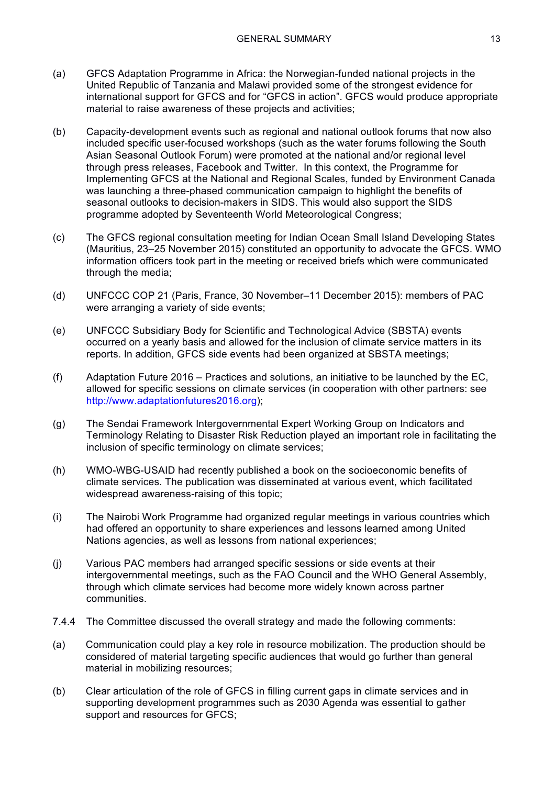- (a) GFCS Adaptation Programme in Africa: the Norwegian-funded national projects in the United Republic of Tanzania and Malawi provided some of the strongest evidence for international support for GFCS and for "GFCS in action". GFCS would produce appropriate material to raise awareness of these projects and activities;
- (b) Capacity-development events such as regional and national outlook forums that now also included specific user-focused workshops (such as the water forums following the South Asian Seasonal Outlook Forum) were promoted at the national and/or regional level through press releases, Facebook and Twitter. In this context, the Programme for Implementing GFCS at the National and Regional Scales, funded by Environment Canada was launching a three-phased communication campaign to highlight the benefits of seasonal outlooks to decision-makers in SIDS. This would also support the SIDS programme adopted by Seventeenth World Meteorological Congress;
- (c) The GFCS regional consultation meeting for Indian Ocean Small Island Developing States (Mauritius, 23–25 November 2015) constituted an opportunity to advocate the GFCS. WMO information officers took part in the meeting or received briefs which were communicated through the media;
- (d) UNFCCC COP 21 (Paris, France, 30 November–11 December 2015): members of PAC were arranging a variety of side events;
- (e) UNFCCC Subsidiary Body for Scientific and Technological Advice (SBSTA) events occurred on a yearly basis and allowed for the inclusion of climate service matters in its reports. In addition, GFCS side events had been organized at SBSTA meetings;
- (f) Adaptation Future 2016 Practices and solutions, an initiative to be launched by the EC, allowed for specific sessions on climate services (in cooperation with other partners: see http://www.adaptationfutures2016.org);
- (g) The Sendai Framework Intergovernmental Expert Working Group on Indicators and Terminology Relating to Disaster Risk Reduction played an important role in facilitating the inclusion of specific terminology on climate services;
- (h) WMO-WBG-USAID had recently published a book on the socioeconomic benefits of climate services. The publication was disseminated at various event, which facilitated widespread awareness-raising of this topic;
- (i) The Nairobi Work Programme had organized regular meetings in various countries which had offered an opportunity to share experiences and lessons learned among United Nations agencies, as well as lessons from national experiences;
- (j) Various PAC members had arranged specific sessions or side events at their intergovernmental meetings, such as the FAO Council and the WHO General Assembly, through which climate services had become more widely known across partner communities.
- 7.4.4 The Committee discussed the overall strategy and made the following comments:
- (a) Communication could play a key role in resource mobilization. The production should be considered of material targeting specific audiences that would go further than general material in mobilizing resources;
- (b) Clear articulation of the role of GFCS in filling current gaps in climate services and in supporting development programmes such as 2030 Agenda was essential to gather support and resources for GFCS;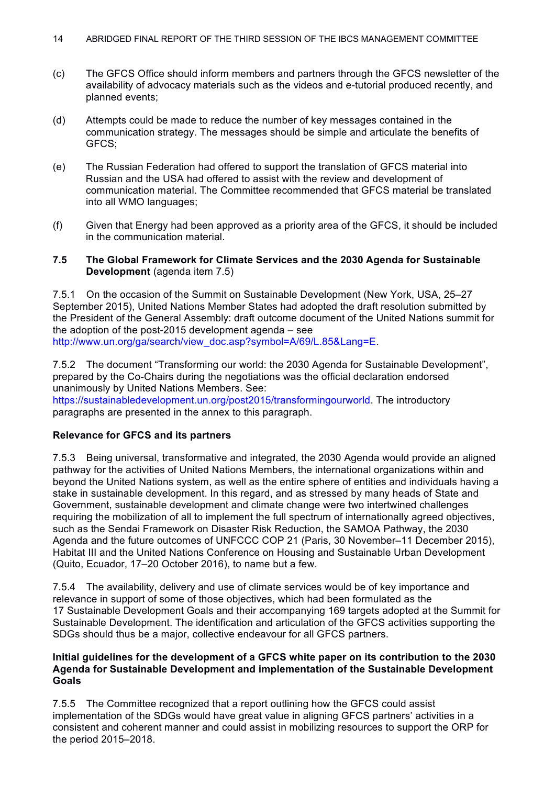- (c) The GFCS Office should inform members and partners through the GFCS newsletter of the availability of advocacy materials such as the videos and e-tutorial produced recently, and planned events;
- (d) Attempts could be made to reduce the number of key messages contained in the communication strategy. The messages should be simple and articulate the benefits of GFCS;
- (e) The Russian Federation had offered to support the translation of GFCS material into Russian and the USA had offered to assist with the review and development of communication material. The Committee recommended that GFCS material be translated into all WMO languages;
- (f) Given that Energy had been approved as a priority area of the GFCS, it should be included in the communication material.

### **7.5 The Global Framework for Climate Services and the 2030 Agenda for Sustainable Development** (agenda item 7.5)

7.5.1 On the occasion of the Summit on Sustainable Development (New York, USA, 25–27 September 2015), United Nations Member States had adopted the draft resolution submitted by the President of the General Assembly: draft outcome document of the United Nations summit for the adoption of the post-2015 development agenda – see http://www.un.org/ga/search/view\_doc.asp?symbol=A/69/L.85&Lang=E.

7.5.2 The document "Transforming our world: the 2030 Agenda for Sustainable Development", prepared by the Co-Chairs during the negotiations was the official declaration endorsed unanimously by United Nations Members. See:

https://sustainabledevelopment.un.org/post2015/transformingourworld. The introductory paragraphs are presented in the annex to this paragraph.

### **Relevance for GFCS and its partners**

7.5.3 Being universal, transformative and integrated, the 2030 Agenda would provide an aligned pathway for the activities of United Nations Members, the international organizations within and beyond the United Nations system, as well as the entire sphere of entities and individuals having a stake in sustainable development. In this regard, and as stressed by many heads of State and Government, sustainable development and climate change were two intertwined challenges requiring the mobilization of all to implement the full spectrum of internationally agreed objectives, such as the Sendai Framework on Disaster Risk Reduction, the SAMOA Pathway, the 2030 Agenda and the future outcomes of UNFCCC COP 21 (Paris, 30 November–11 December 2015), Habitat III and the United Nations Conference on Housing and Sustainable Urban Development (Quito, Ecuador, 17–20 October 2016), to name but a few.

7.5.4 The availability, delivery and use of climate services would be of key importance and relevance in support of some of those objectives, which had been formulated as the 17 Sustainable Development Goals and their accompanying 169 targets adopted at the Summit for Sustainable Development. The identification and articulation of the GFCS activities supporting the SDGs should thus be a major, collective endeavour for all GFCS partners.

### **Initial guidelines for the development of a GFCS white paper on its contribution to the 2030 Agenda for Sustainable Development and implementation of the Sustainable Development Goals**

7.5.5 The Committee recognized that a report outlining how the GFCS could assist implementation of the SDGs would have great value in aligning GFCS partners' activities in a consistent and coherent manner and could assist in mobilizing resources to support the ORP for the period 2015–2018.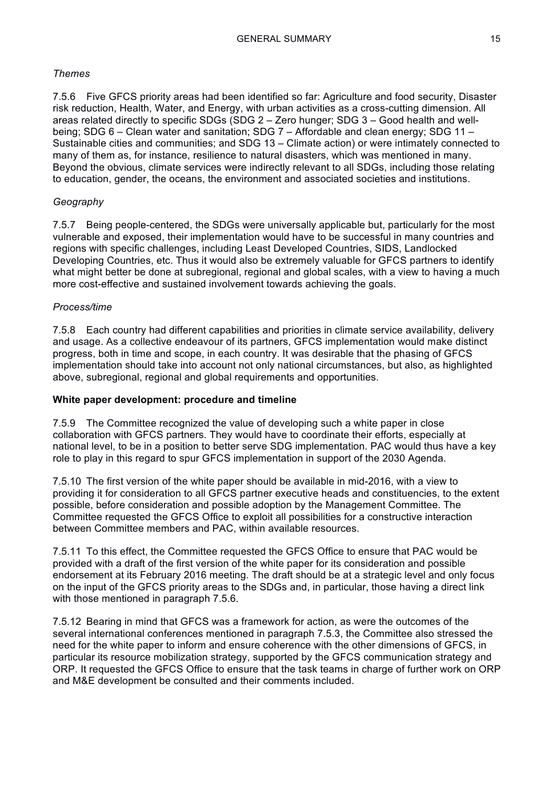### *Themes*

7.5.6 Five GFCS priority areas had been identified so far: Agriculture and food security, Disaster risk reduction, Health, Water, and Energy, with urban activities as a cross-cutting dimension. All areas related directly to specific SDGs (SDG 2 – Zero hunger; SDG 3 – Good health and wellbeing; SDG 6 – Clean water and sanitation; SDG 7 – Affordable and clean energy; SDG 11 – Sustainable cities and communities; and SDG 13 – Climate action) or were intimately connected to many of them as, for instance, resilience to natural disasters, which was mentioned in many. Beyond the obvious, climate services were indirectly relevant to all SDGs, including those relating to education, gender, the oceans, the environment and associated societies and institutions.

### *Geography*

7.5.7 Being people-centered, the SDGs were universally applicable but, particularly for the most vulnerable and exposed, their implementation would have to be successful in many countries and regions with specific challenges, including Least Developed Countries, SIDS, Landlocked Developing Countries, etc. Thus it would also be extremely valuable for GFCS partners to identify what might better be done at subregional, regional and global scales, with a view to having a much more cost-effective and sustained involvement towards achieving the goals.

### *Process/time*

7.5.8 Each country had different capabilities and priorities in climate service availability, delivery and usage. As a collective endeavour of its partners, GFCS implementation would make distinct progress, both in time and scope, in each country. It was desirable that the phasing of GFCS implementation should take into account not only national circumstances, but also, as highlighted above, subregional, regional and global requirements and opportunities.

### **White paper development: procedure and timeline**

7.5.9 The Committee recognized the value of developing such a white paper in close collaboration with GFCS partners. They would have to coordinate their efforts, especially at national level, to be in a position to better serve SDG implementation. PAC would thus have a key role to play in this regard to spur GFCS implementation in support of the 2030 Agenda.

7.5.10 The first version of the white paper should be available in mid-2016, with a view to providing it for consideration to all GFCS partner executive heads and constituencies, to the extent possible, before consideration and possible adoption by the Management Committee. The Committee requested the GFCS Office to exploit all possibilities for a constructive interaction between Committee members and PAC, within available resources.

7.5.11 To this effect, the Committee requested the GFCS Office to ensure that PAC would be provided with a draft of the first version of the white paper for its consideration and possible endorsement at its February 2016 meeting. The draft should be at a strategic level and only focus on the input of the GFCS priority areas to the SDGs and, in particular, those having a direct link with those mentioned in paragraph 7.5.6.

7.5.12 Bearing in mind that GFCS was a framework for action, as were the outcomes of the several international conferences mentioned in paragraph 7.5.3, the Committee also stressed the need for the white paper to inform and ensure coherence with the other dimensions of GFCS, in particular its resource mobilization strategy, supported by the GFCS communication strategy and ORP. It requested the GFCS Office to ensure that the task teams in charge of further work on ORP and M&E development be consulted and their comments included.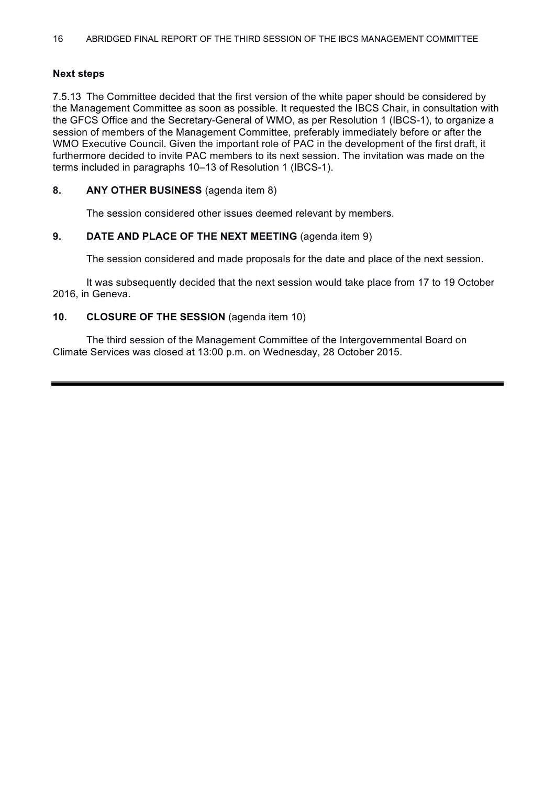### **Next steps**

7.5.13 The Committee decided that the first version of the white paper should be considered by the Management Committee as soon as possible. It requested the IBCS Chair, in consultation with the GFCS Office and the Secretary-General of WMO, as per Resolution 1 (IBCS-1), to organize a session of members of the Management Committee, preferably immediately before or after the WMO Executive Council. Given the important role of PAC in the development of the first draft, it furthermore decided to invite PAC members to its next session. The invitation was made on the terms included in paragraphs 10–13 of Resolution 1 (IBCS-1).

### **8. ANY OTHER BUSINESS** (agenda item 8)

The session considered other issues deemed relevant by members.

### **9. DATE AND PLACE OF THE NEXT MEETING** (agenda item 9)

The session considered and made proposals for the date and place of the next session.

It was subsequently decided that the next session would take place from 17 to 19 October 2016, in Geneva.

### **10. CLOSURE OF THE SESSION** (agenda item 10)

The third session of the Management Committee of the Intergovernmental Board on Climate Services was closed at 13:00 p.m. on Wednesday, 28 October 2015.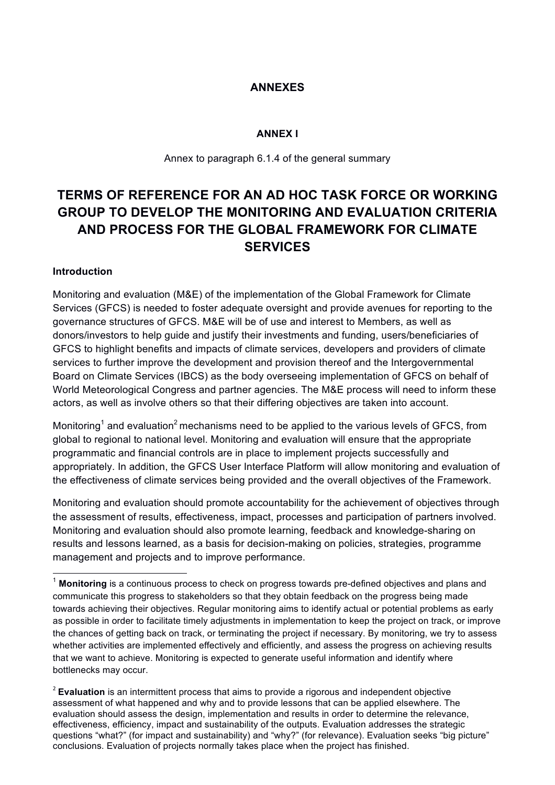### **ANNEXES**

### **ANNEX I**

### Annex to paragraph 6.1.4 of the general summary

# **TERMS OF REFERENCE FOR AN AD HOC TASK FORCE OR WORKING GROUP TO DEVELOP THE MONITORING AND EVALUATION CRITERIA AND PROCESS FOR THE GLOBAL FRAMEWORK FOR CLIMATE SERVICES**

### **Introduction**

Monitoring and evaluation (M&E) of the implementation of the Global Framework for Climate Services (GFCS) is needed to foster adequate oversight and provide avenues for reporting to the governance structures of GFCS. M&E will be of use and interest to Members, as well as donors/investors to help guide and justify their investments and funding, users/beneficiaries of GFCS to highlight benefits and impacts of climate services, developers and providers of climate services to further improve the development and provision thereof and the Intergovernmental Board on Climate Services (IBCS) as the body overseeing implementation of GFCS on behalf of World Meteorological Congress and partner agencies. The M&E process will need to inform these actors, as well as involve others so that their differing objectives are taken into account.

Monitoring<sup>1</sup> and evaluation<sup>2</sup> mechanisms need to be applied to the various levels of GFCS, from global to regional to national level. Monitoring and evaluation will ensure that the appropriate programmatic and financial controls are in place to implement projects successfully and appropriately. In addition, the GFCS User Interface Platform will allow monitoring and evaluation of the effectiveness of climate services being provided and the overall objectives of the Framework.

Monitoring and evaluation should promote accountability for the achievement of objectives through the assessment of results, effectiveness, impact, processes and participation of partners involved. Monitoring and evaluation should also promote learning, feedback and knowledge-sharing on results and lessons learned, as a basis for decision-making on policies, strategies, programme management and projects and to improve performance.

<sup>1</sup> **Monitoring** is a continuous process to check on progress towards pre-defined objectives and plans and communicate this progress to stakeholders so that they obtain feedback on the progress being made towards achieving their objectives. Regular monitoring aims to identify actual or potential problems as early as possible in order to facilitate timely adjustments in implementation to keep the project on track, or improve the chances of getting back on track, or terminating the project if necessary. By monitoring, we try to assess whether activities are implemented effectively and efficiently, and assess the progress on achieving results that we want to achieve. Monitoring is expected to generate useful information and identify where bottlenecks may occur.

<sup>2</sup> **Evaluation** is an intermittent process that aims to provide a rigorous and independent objective assessment of what happened and why and to provide lessons that can be applied elsewhere. The evaluation should assess the design, implementation and results in order to determine the relevance, effectiveness, efficiency, impact and sustainability of the outputs. Evaluation addresses the strategic questions "what?" (for impact and sustainability) and "why?" (for relevance). Evaluation seeks "big picture" conclusions. Evaluation of projects normally takes place when the project has finished.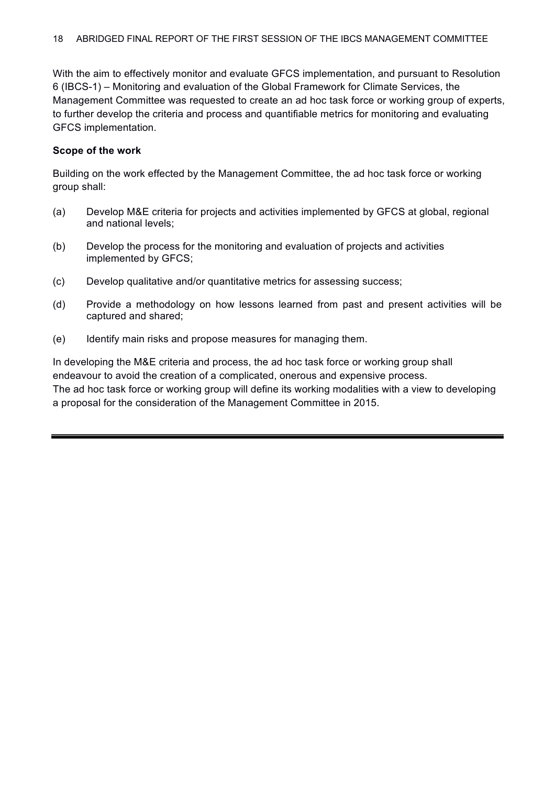With the aim to effectively monitor and evaluate GFCS implementation, and pursuant to Resolution 6 (IBCS-1) – Monitoring and evaluation of the Global Framework for Climate Services, the Management Committee was requested to create an ad hoc task force or working group of experts, to further develop the criteria and process and quantifiable metrics for monitoring and evaluating GFCS implementation.

#### **Scope of the work**

Building on the work effected by the Management Committee, the ad hoc task force or working group shall:

- (a) Develop M&E criteria for projects and activities implemented by GFCS at global, regional and national levels;
- (b) Develop the process for the monitoring and evaluation of projects and activities implemented by GFCS;
- (c) Develop qualitative and/or quantitative metrics for assessing success;
- (d) Provide a methodology on how lessons learned from past and present activities will be captured and shared;
- (e) Identify main risks and propose measures for managing them.

In developing the M&E criteria and process, the ad hoc task force or working group shall endeavour to avoid the creation of a complicated, onerous and expensive process. The ad hoc task force or working group will define its working modalities with a view to developing a proposal for the consideration of the Management Committee in 2015.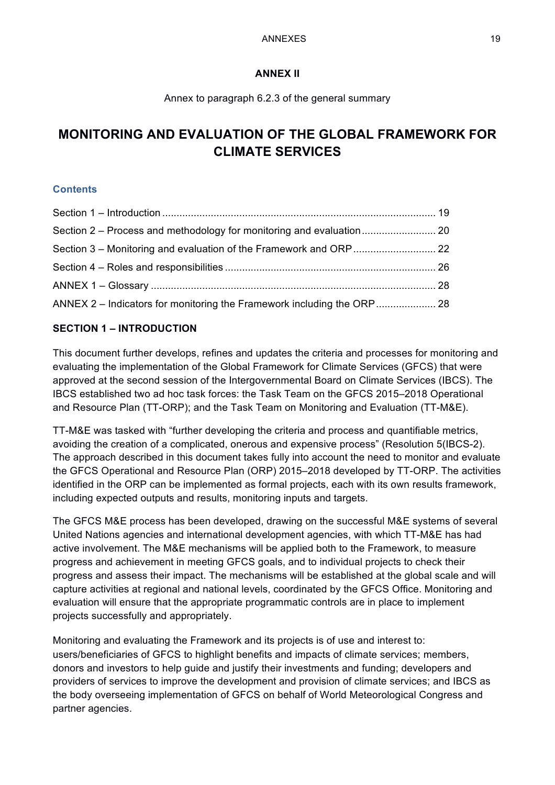### **ANNEX II**

### Annex to paragraph 6.2.3 of the general summary

# **MONITORING AND EVALUATION OF THE GLOBAL FRAMEWORK FOR CLIMATE SERVICES**

### **Contents**

| ANNEX 2 – Indicators for monitoring the Framework including the ORP 28 |  |
|------------------------------------------------------------------------|--|

### **SECTION 1 – INTRODUCTION**

This document further develops, refines and updates the criteria and processes for monitoring and evaluating the implementation of the Global Framework for Climate Services (GFCS) that were approved at the second session of the Intergovernmental Board on Climate Services (IBCS). The IBCS established two ad hoc task forces: the Task Team on the GFCS 2015–2018 Operational and Resource Plan (TT-ORP); and the Task Team on Monitoring and Evaluation (TT-M&E).

TT-M&E was tasked with "further developing the criteria and process and quantifiable metrics, avoiding the creation of a complicated, onerous and expensive process" (Resolution 5(IBCS-2). The approach described in this document takes fully into account the need to monitor and evaluate the GFCS Operational and Resource Plan (ORP) 2015–2018 developed by TT-ORP. The activities identified in the ORP can be implemented as formal projects, each with its own results framework, including expected outputs and results, monitoring inputs and targets.

The GFCS M&E process has been developed, drawing on the successful M&E systems of several United Nations agencies and international development agencies, with which TT-M&E has had active involvement. The M&E mechanisms will be applied both to the Framework, to measure progress and achievement in meeting GFCS goals, and to individual projects to check their progress and assess their impact. The mechanisms will be established at the global scale and will capture activities at regional and national levels, coordinated by the GFCS Office. Monitoring and evaluation will ensure that the appropriate programmatic controls are in place to implement projects successfully and appropriately.

Monitoring and evaluating the Framework and its projects is of use and interest to: users/beneficiaries of GFCS to highlight benefits and impacts of climate services; members, donors and investors to help guide and justify their investments and funding; developers and providers of services to improve the development and provision of climate services; and IBCS as the body overseeing implementation of GFCS on behalf of World Meteorological Congress and partner agencies.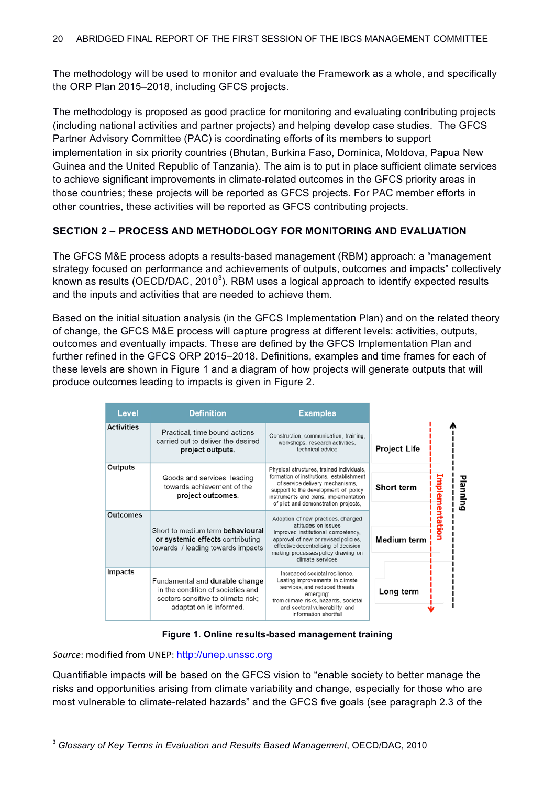The methodology will be used to monitor and evaluate the Framework as a whole, and specifically the ORP Plan 2015–2018, including GFCS projects.

The methodology is proposed as good practice for monitoring and evaluating contributing projects (including national activities and partner projects) and helping develop case studies. The GFCS Partner Advisory Committee (PAC) is coordinating efforts of its members to support implementation in six priority countries (Bhutan, Burkina Faso, Dominica, Moldova, Papua New Guinea and the United Republic of Tanzania). The aim is to put in place sufficient climate services to achieve significant improvements in climate-related outcomes in the GFCS priority areas in those countries; these projects will be reported as GFCS projects. For PAC member efforts in other countries, these activities will be reported as GFCS contributing projects.

### **SECTION 2 – PROCESS AND METHODOLOGY FOR MONITORING AND EVALUATION**

The GFCS M&E process adopts a results-based management (RBM) approach: a "management strategy focused on performance and achievements of outputs, outcomes and impacts" collectively known as results (OECD/DAC, 2010<sup>3</sup>). RBM uses a logical approach to identify expected results and the inputs and activities that are needed to achieve them.

Based on the initial situation analysis (in the GFCS Implementation Plan) and on the related theory of change, the GFCS M&E process will capture progress at different levels: activities, outputs, outcomes and eventually impacts. These are defined by the GFCS Implementation Plan and further refined in the GFCS ORP 2015–2018. Definitions, examples and time frames for each of these levels are shown in Figure 1 and a diagram of how projects will generate outputs that will produce outcomes leading to impacts is given in Figure 2.

| Level             | <b>Definition</b>                                                                                                                    | <b>Examples</b>                                                                                                                                                                                                                                   |                     |                       |          |
|-------------------|--------------------------------------------------------------------------------------------------------------------------------------|---------------------------------------------------------------------------------------------------------------------------------------------------------------------------------------------------------------------------------------------------|---------------------|-----------------------|----------|
| <b>Activities</b> | Practical, time bound actions<br>carried out to deliver the desired<br>project outputs.                                              | Construction, communication, training,<br>workshops, research activities,<br>technical advice                                                                                                                                                     | <b>Project Life</b> |                       |          |
| Outputs           | Goods and services leading<br>towards achievement of the<br>project outcomes.                                                        | Physical structures, trained individuals,<br>formation of institutions, establishment<br>of service delivery mechanisms.<br>support to the development of policy<br>instruments and plans, implementation<br>of pilot and demonstration projects. | Short term          | <b>Implementatior</b> | Planning |
| <b>Outcomes</b>   | Short to medium term behavioural<br>or systemic effects contributing<br>towards / leading towards impacts                            | Adoption of new practices, changed<br>attitudes on issues<br>Improved institutional competency,<br>approval of new or revised policies.<br>effective decentralising of decision<br>making processes policy drawing on<br>climate services         | <b>Medium term</b>  |                       |          |
| Impacts           | Fundamental and durable change<br>in the condition of societies and<br>sectors sensitive to climate risk:<br>adaptation is informed. | Increased societal resilience.<br>Lasting improvements in climate<br>services, and reduced threats<br>emerging:<br>from climate risks, hazards, societal<br>and sectoral vulnerability and<br>information shortfall                               | Long term           |                       |          |

**Figure 1. Online results-based management training**

Source: modified from UNEP: http://unep.unssc.org

Quantifiable impacts will be based on the GFCS vision to "enable society to better manage the risks and opportunities arising from climate variability and change, especially for those who are most vulnerable to climate-related hazards" and the GFCS five goals (see paragraph 2.3 of the

 <sup>3</sup> *Glossary of Key Terms in Evaluation and Results Based Management*, OECD/DAC, 2010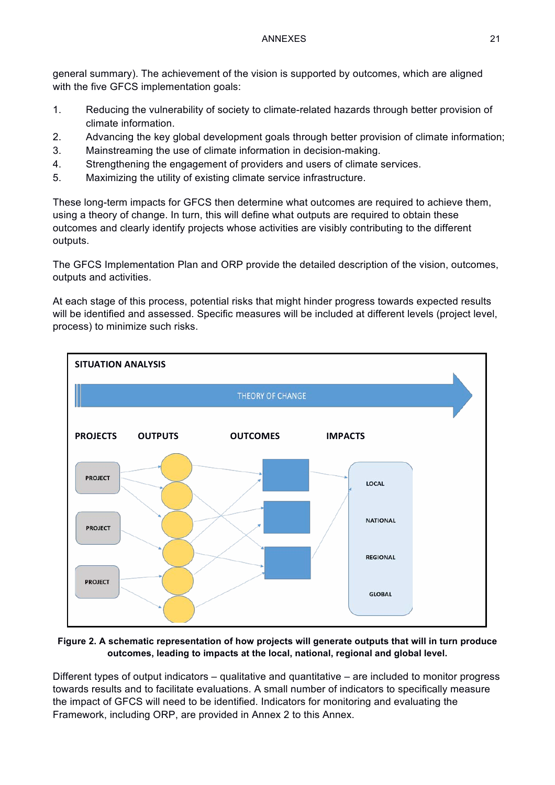general summary). The achievement of the vision is supported by outcomes, which are aligned with the five GFCS implementation goals:

- 1. Reducing the vulnerability of society to climate-related hazards through better provision of climate information.
- 2. Advancing the key global development goals through better provision of climate information;
- 3. Mainstreaming the use of climate information in decision-making.
- 4. Strengthening the engagement of providers and users of climate services.
- 5. Maximizing the utility of existing climate service infrastructure.

These long-term impacts for GFCS then determine what outcomes are required to achieve them, using a theory of change. In turn, this will define what outputs are required to obtain these outcomes and clearly identify projects whose activities are visibly contributing to the different outputs.

The GFCS Implementation Plan and ORP provide the detailed description of the vision, outcomes, outputs and activities.

At each stage of this process, potential risks that might hinder progress towards expected results will be identified and assessed. Specific measures will be included at different levels (project level, process) to minimize such risks.



### **Figure 2. A schematic representation of how projects will generate outputs that will in turn produce outcomes, leading to impacts at the local, national, regional and global level.**

Different types of output indicators – qualitative and quantitative – are included to monitor progress towards results and to facilitate evaluations. A small number of indicators to specifically measure the impact of GFCS will need to be identified. Indicators for monitoring and evaluating the Framework, including ORP, are provided in Annex 2 to this Annex.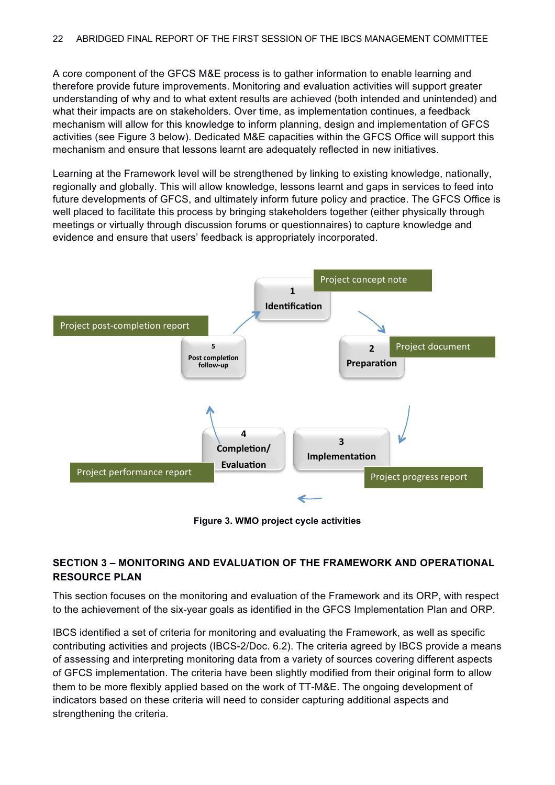A core component of the GFCS M&E process is to gather information to enable learning and therefore provide future improvements. Monitoring and evaluation activities will support greater understanding of why and to what extent results are achieved (both intended and unintended) and what their impacts are on stakeholders. Over time, as implementation continues, a feedback mechanism will allow for this knowledge to inform planning, design and implementation of GFCS activities (see Figure 3 below). Dedicated M&E capacities within the GFCS Office will support this mechanism and ensure that lessons learnt are adequately reflected in new initiatives.

Learning at the Framework level will be strengthened by linking to existing knowledge, nationally, regionally and globally. This will allow knowledge, lessons learnt and gaps in services to feed into future developments of GFCS, and ultimately inform future policy and practice. The GFCS Office is well placed to facilitate this process by bringing stakeholders together (either physically through meetings or virtually through discussion forums or questionnaires) to capture knowledge and evidence and ensure that users' feedback is appropriately incorporated.



**Figure 3. WMO project cycle activities**

### **SECTION 3 – MONITORING AND EVALUATION OF THE FRAMEWORK AND OPERATIONAL RESOURCE PLAN**

This section focuses on the monitoring and evaluation of the Framework and its ORP, with respect to the achievement of the six-year goals as identified in the GFCS Implementation Plan and ORP.

IBCS identified a set of criteria for monitoring and evaluating the Framework, as well as specific contributing activities and projects (IBCS-2/Doc. 6.2). The criteria agreed by IBCS provide a means of assessing and interpreting monitoring data from a variety of sources covering different aspects of GFCS implementation. The criteria have been slightly modified from their original form to allow them to be more flexibly applied based on the work of TT-M&E. The ongoing development of indicators based on these criteria will need to consider capturing additional aspects and strengthening the criteria.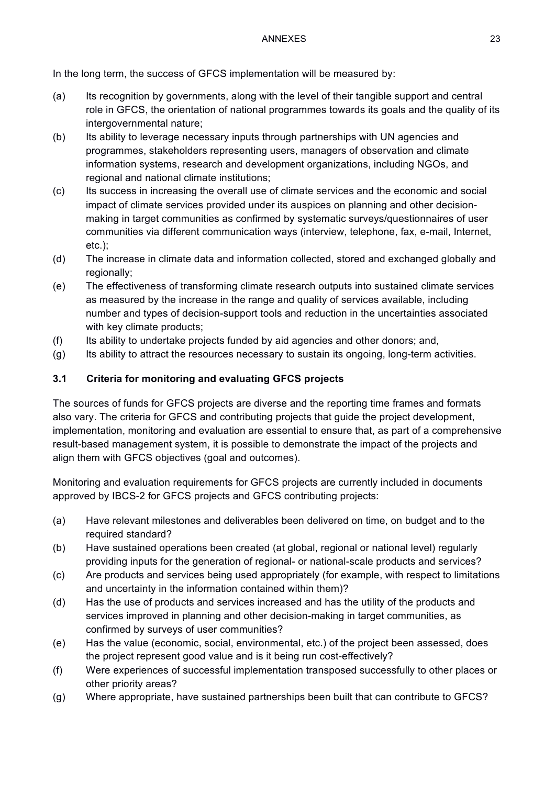In the long term, the success of GFCS implementation will be measured by:

- (a) Its recognition by governments, along with the level of their tangible support and central role in GFCS, the orientation of national programmes towards its goals and the quality of its intergovernmental nature;
- (b) Its ability to leverage necessary inputs through partnerships with UN agencies and programmes, stakeholders representing users, managers of observation and climate information systems, research and development organizations, including NGOs, and regional and national climate institutions;
- (c) Its success in increasing the overall use of climate services and the economic and social impact of climate services provided under its auspices on planning and other decisionmaking in target communities as confirmed by systematic surveys/questionnaires of user communities via different communication ways (interview, telephone, fax, e-mail, Internet, etc.);
- (d) The increase in climate data and information collected, stored and exchanged globally and regionally;
- (e) The effectiveness of transforming climate research outputs into sustained climate services as measured by the increase in the range and quality of services available, including number and types of decision-support tools and reduction in the uncertainties associated with key climate products;
- (f) Its ability to undertake projects funded by aid agencies and other donors; and,
- (g) Its ability to attract the resources necessary to sustain its ongoing, long-term activities.

### **3.1 Criteria for monitoring and evaluating GFCS projects**

The sources of funds for GFCS projects are diverse and the reporting time frames and formats also vary. The criteria for GFCS and contributing projects that guide the project development, implementation, monitoring and evaluation are essential to ensure that, as part of a comprehensive result-based management system, it is possible to demonstrate the impact of the projects and align them with GFCS objectives (goal and outcomes).

Monitoring and evaluation requirements for GFCS projects are currently included in documents approved by IBCS-2 for GFCS projects and GFCS contributing projects:

- (a) Have relevant milestones and deliverables been delivered on time, on budget and to the required standard?
- (b) Have sustained operations been created (at global, regional or national level) regularly providing inputs for the generation of regional- or national-scale products and services?
- (c) Are products and services being used appropriately (for example, with respect to limitations and uncertainty in the information contained within them)?
- (d) Has the use of products and services increased and has the utility of the products and services improved in planning and other decision-making in target communities, as confirmed by surveys of user communities?
- (e) Has the value (economic, social, environmental, etc.) of the project been assessed, does the project represent good value and is it being run cost-effectively?
- (f) Were experiences of successful implementation transposed successfully to other places or other priority areas?
- (g) Where appropriate, have sustained partnerships been built that can contribute to GFCS?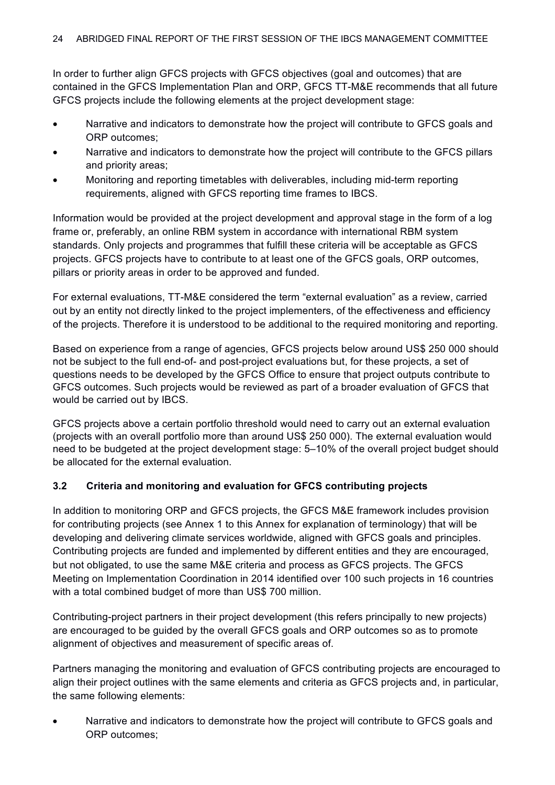In order to further align GFCS projects with GFCS objectives (goal and outcomes) that are contained in the GFCS Implementation Plan and ORP, GFCS TT-M&E recommends that all future GFCS projects include the following elements at the project development stage:

- Narrative and indicators to demonstrate how the project will contribute to GFCS goals and ORP outcomes;
- Narrative and indicators to demonstrate how the project will contribute to the GFCS pillars and priority areas;
- Monitoring and reporting timetables with deliverables, including mid-term reporting requirements, aligned with GFCS reporting time frames to IBCS.

Information would be provided at the project development and approval stage in the form of a log frame or, preferably, an online RBM system in accordance with international RBM system standards. Only projects and programmes that fulfill these criteria will be acceptable as GFCS projects. GFCS projects have to contribute to at least one of the GFCS goals, ORP outcomes, pillars or priority areas in order to be approved and funded.

For external evaluations, TT-M&E considered the term "external evaluation" as a review, carried out by an entity not directly linked to the project implementers, of the effectiveness and efficiency of the projects. Therefore it is understood to be additional to the required monitoring and reporting.

Based on experience from a range of agencies, GFCS projects below around US\$ 250 000 should not be subject to the full end-of- and post-project evaluations but, for these projects, a set of questions needs to be developed by the GFCS Office to ensure that project outputs contribute to GFCS outcomes. Such projects would be reviewed as part of a broader evaluation of GFCS that would be carried out by IBCS.

GFCS projects above a certain portfolio threshold would need to carry out an external evaluation (projects with an overall portfolio more than around US\$ 250 000). The external evaluation would need to be budgeted at the project development stage: 5–10% of the overall project budget should be allocated for the external evaluation.

### **3.2 Criteria and monitoring and evaluation for GFCS contributing projects**

In addition to monitoring ORP and GFCS projects, the GFCS M&E framework includes provision for contributing projects (see Annex 1 to this Annex for explanation of terminology) that will be developing and delivering climate services worldwide, aligned with GFCS goals and principles. Contributing projects are funded and implemented by different entities and they are encouraged, but not obligated, to use the same M&E criteria and process as GFCS projects. The GFCS Meeting on Implementation Coordination in 2014 identified over 100 such projects in 16 countries with a total combined budget of more than US\$ 700 million.

Contributing-project partners in their project development (this refers principally to new projects) are encouraged to be guided by the overall GFCS goals and ORP outcomes so as to promote alignment of objectives and measurement of specific areas of.

Partners managing the monitoring and evaluation of GFCS contributing projects are encouraged to align their project outlines with the same elements and criteria as GFCS projects and, in particular, the same following elements:

• Narrative and indicators to demonstrate how the project will contribute to GFCS goals and ORP outcomes;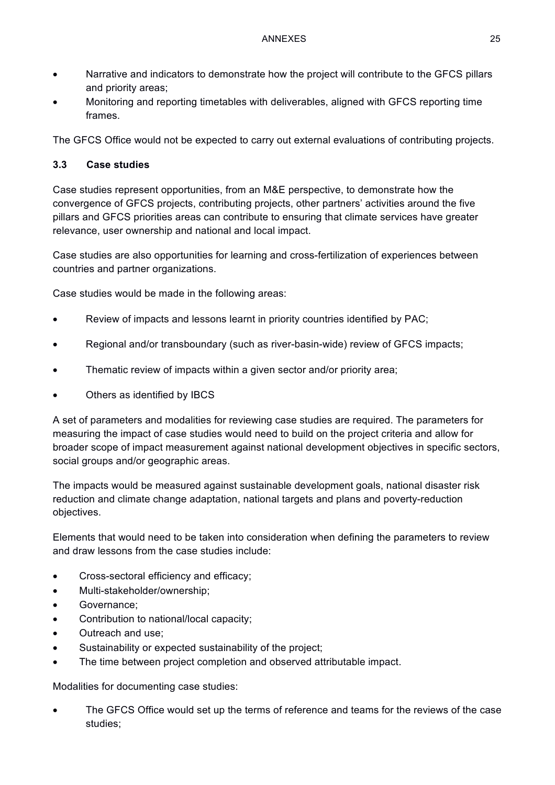- Narrative and indicators to demonstrate how the project will contribute to the GFCS pillars and priority areas;
- Monitoring and reporting timetables with deliverables, aligned with GFCS reporting time frames.

The GFCS Office would not be expected to carry out external evaluations of contributing projects.

### **3.3 Case studies**

Case studies represent opportunities, from an M&E perspective, to demonstrate how the convergence of GFCS projects, contributing projects, other partners' activities around the five pillars and GFCS priorities areas can contribute to ensuring that climate services have greater relevance, user ownership and national and local impact.

Case studies are also opportunities for learning and cross-fertilization of experiences between countries and partner organizations.

Case studies would be made in the following areas:

- Review of impacts and lessons learnt in priority countries identified by PAC;
- Regional and/or transboundary (such as river-basin-wide) review of GFCS impacts;
- Thematic review of impacts within a given sector and/or priority area;
- Others as identified by IBCS

A set of parameters and modalities for reviewing case studies are required. The parameters for measuring the impact of case studies would need to build on the project criteria and allow for broader scope of impact measurement against national development objectives in specific sectors, social groups and/or geographic areas.

The impacts would be measured against sustainable development goals, national disaster risk reduction and climate change adaptation, national targets and plans and poverty-reduction objectives.

Elements that would need to be taken into consideration when defining the parameters to review and draw lessons from the case studies include:

- Cross-sectoral efficiency and efficacy;
- Multi-stakeholder/ownership;
- Governance:
- Contribution to national/local capacity;
- Outreach and use;
- Sustainability or expected sustainability of the project;
- The time between project completion and observed attributable impact.

Modalities for documenting case studies:

The GFCS Office would set up the terms of reference and teams for the reviews of the case studies;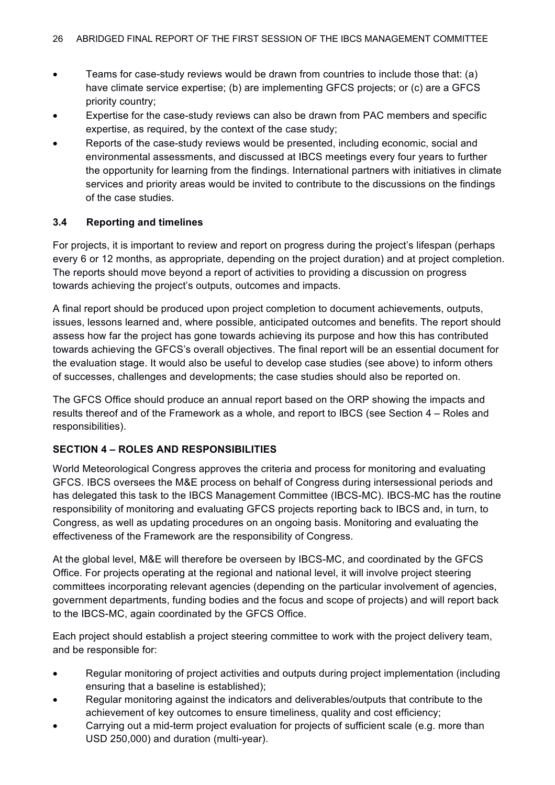- Teams for case-study reviews would be drawn from countries to include those that: (a) have climate service expertise; (b) are implementing GFCS projects; or (c) are a GFCS priority country;
- Expertise for the case-study reviews can also be drawn from PAC members and specific expertise, as required, by the context of the case study;
- Reports of the case-study reviews would be presented, including economic, social and environmental assessments, and discussed at IBCS meetings every four years to further the opportunity for learning from the findings. International partners with initiatives in climate services and priority areas would be invited to contribute to the discussions on the findings of the case studies.

### **3.4 Reporting and timelines**

For projects, it is important to review and report on progress during the project's lifespan (perhaps every 6 or 12 months, as appropriate, depending on the project duration) and at project completion. The reports should move beyond a report of activities to providing a discussion on progress towards achieving the project's outputs, outcomes and impacts.

A final report should be produced upon project completion to document achievements, outputs, issues, lessons learned and, where possible, anticipated outcomes and benefits. The report should assess how far the project has gone towards achieving its purpose and how this has contributed towards achieving the GFCS's overall objectives. The final report will be an essential document for the evaluation stage. It would also be useful to develop case studies (see above) to inform others of successes, challenges and developments; the case studies should also be reported on.

The GFCS Office should produce an annual report based on the ORP showing the impacts and results thereof and of the Framework as a whole, and report to IBCS (see Section 4 – Roles and responsibilities).

### **SECTION 4 – ROLES AND RESPONSIBILITIES**

World Meteorological Congress approves the criteria and process for monitoring and evaluating GFCS. IBCS oversees the M&E process on behalf of Congress during intersessional periods and has delegated this task to the IBCS Management Committee (IBCS-MC). IBCS-MC has the routine responsibility of monitoring and evaluating GFCS projects reporting back to IBCS and, in turn, to Congress, as well as updating procedures on an ongoing basis. Monitoring and evaluating the effectiveness of the Framework are the responsibility of Congress.

At the global level, M&E will therefore be overseen by IBCS-MC, and coordinated by the GFCS Office. For projects operating at the regional and national level, it will involve project steering committees incorporating relevant agencies (depending on the particular involvement of agencies, government departments, funding bodies and the focus and scope of projects) and will report back to the IBCS-MC, again coordinated by the GFCS Office.

Each project should establish a project steering committee to work with the project delivery team, and be responsible for:

- Regular monitoring of project activities and outputs during project implementation (including ensuring that a baseline is established);
- Regular monitoring against the indicators and deliverables/outputs that contribute to the achievement of key outcomes to ensure timeliness, quality and cost efficiency;
- Carrying out a mid-term project evaluation for projects of sufficient scale (e.g. more than USD 250,000) and duration (multi-year).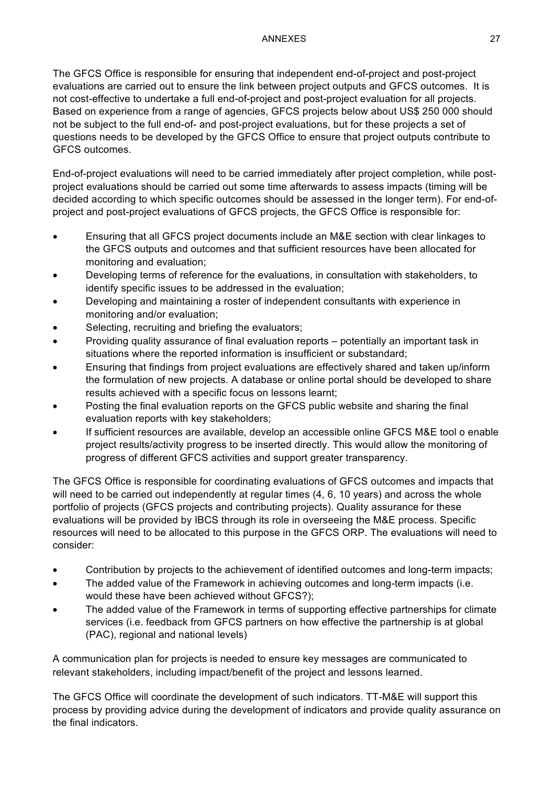The GFCS Office is responsible for ensuring that independent end-of-project and post-project evaluations are carried out to ensure the link between project outputs and GFCS outcomes. It is not cost-effective to undertake a full end-of-project and post-project evaluation for all projects. Based on experience from a range of agencies, GFCS projects below about US\$ 250 000 should not be subject to the full end-of- and post-project evaluations, but for these projects a set of questions needs to be developed by the GFCS Office to ensure that project outputs contribute to GFCS outcomes.

End-of-project evaluations will need to be carried immediately after project completion, while postproject evaluations should be carried out some time afterwards to assess impacts (timing will be decided according to which specific outcomes should be assessed in the longer term). For end-ofproject and post-project evaluations of GFCS projects, the GFCS Office is responsible for:

- Ensuring that all GFCS project documents include an M&E section with clear linkages to the GFCS outputs and outcomes and that sufficient resources have been allocated for monitoring and evaluation;
- Developing terms of reference for the evaluations, in consultation with stakeholders, to identify specific issues to be addressed in the evaluation;
- Developing and maintaining a roster of independent consultants with experience in monitoring and/or evaluation;
- Selecting, recruiting and briefing the evaluators;
- Providing quality assurance of final evaluation reports potentially an important task in situations where the reported information is insufficient or substandard;
- Ensuring that findings from project evaluations are effectively shared and taken up/inform the formulation of new projects. A database or online portal should be developed to share results achieved with a specific focus on lessons learnt;
- Posting the final evaluation reports on the GFCS public website and sharing the final evaluation reports with key stakeholders;
- If sufficient resources are available, develop an accessible online GFCS M&E tool o enable project results/activity progress to be inserted directly. This would allow the monitoring of progress of different GFCS activities and support greater transparency.

The GFCS Office is responsible for coordinating evaluations of GFCS outcomes and impacts that will need to be carried out independently at regular times (4, 6, 10 years) and across the whole portfolio of projects (GFCS projects and contributing projects). Quality assurance for these evaluations will be provided by IBCS through its role in overseeing the M&E process. Specific resources will need to be allocated to this purpose in the GFCS ORP. The evaluations will need to consider:

- Contribution by projects to the achievement of identified outcomes and long-term impacts;
- The added value of the Framework in achieving outcomes and long-term impacts (i.e. would these have been achieved without GFCS?);
- The added value of the Framework in terms of supporting effective partnerships for climate services (i.e. feedback from GFCS partners on how effective the partnership is at global (PAC), regional and national levels)

A communication plan for projects is needed to ensure key messages are communicated to relevant stakeholders, including impact/benefit of the project and lessons learned.

The GFCS Office will coordinate the development of such indicators. TT-M&E will support this process by providing advice during the development of indicators and provide quality assurance on the final indicators.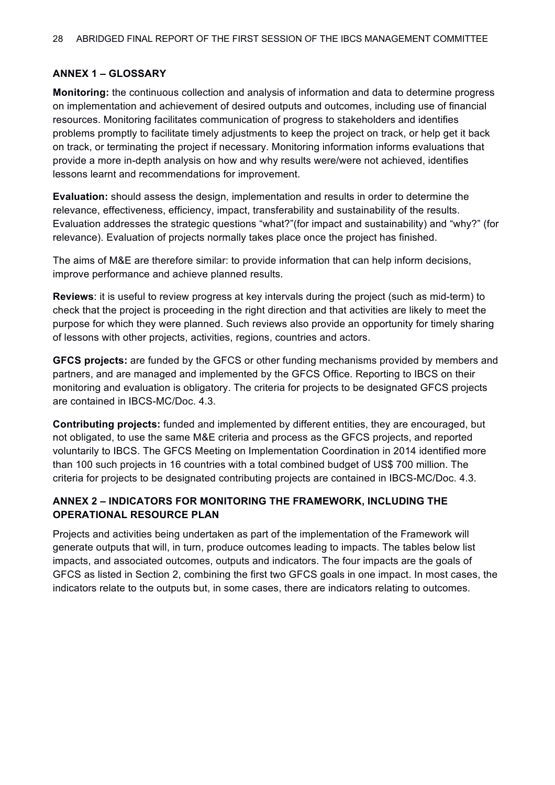### **ANNEX 1 – GLOSSARY**

**Monitoring:** the continuous collection and analysis of information and data to determine progress on implementation and achievement of desired outputs and outcomes, including use of financial resources. Monitoring facilitates communication of progress to stakeholders and identifies problems promptly to facilitate timely adjustments to keep the project on track, or help get it back on track, or terminating the project if necessary. Monitoring information informs evaluations that provide a more in-depth analysis on how and why results were/were not achieved, identifies lessons learnt and recommendations for improvement.

**Evaluation:** should assess the design, implementation and results in order to determine the relevance, effectiveness, efficiency, impact, transferability and sustainability of the results. Evaluation addresses the strategic questions "what?"(for impact and sustainability) and "why?" (for relevance). Evaluation of projects normally takes place once the project has finished.

The aims of M&E are therefore similar: to provide information that can help inform decisions, improve performance and achieve planned results.

**Reviews**: it is useful to review progress at key intervals during the project (such as mid-term) to check that the project is proceeding in the right direction and that activities are likely to meet the purpose for which they were planned. Such reviews also provide an opportunity for timely sharing of lessons with other projects, activities, regions, countries and actors.

**GFCS projects:** are funded by the GFCS or other funding mechanisms provided by members and partners, and are managed and implemented by the GFCS Office. Reporting to IBCS on their monitoring and evaluation is obligatory. The criteria for projects to be designated GFCS projects are contained in IBCS-MC/Doc. 4.3.

**Contributing projects:** funded and implemented by different entities, they are encouraged, but not obligated, to use the same M&E criteria and process as the GFCS projects, and reported voluntarily to IBCS. The GFCS Meeting on Implementation Coordination in 2014 identified more than 100 such projects in 16 countries with a total combined budget of US\$ 700 million. The criteria for projects to be designated contributing projects are contained in IBCS-MC/Doc. 4.3.

### **ANNEX 2 – INDICATORS FOR MONITORING THE FRAMEWORK, INCLUDING THE OPERATIONAL RESOURCE PLAN**

Projects and activities being undertaken as part of the implementation of the Framework will generate outputs that will, in turn, produce outcomes leading to impacts. The tables below list impacts, and associated outcomes, outputs and indicators. The four impacts are the goals of GFCS as listed in Section 2, combining the first two GFCS goals in one impact. In most cases, the indicators relate to the outputs but, in some cases, there are indicators relating to outcomes.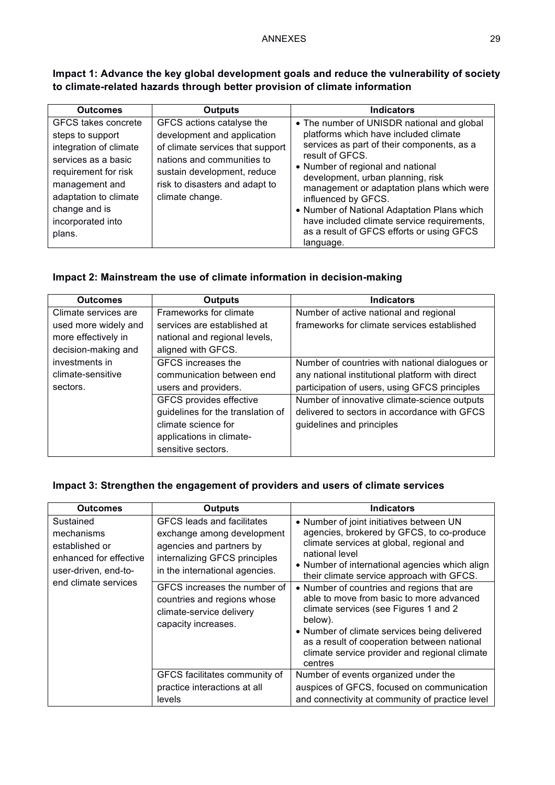### **Impact 1: Advance the key global development goals and reduce the vulnerability of society to climate-related hazards through better provision of climate information**

| <b>Outcomes</b>                                                                                                                                                                                                    | <b>Outputs</b>                                                                                                                                                                                                 | <b>Indicators</b>                                                                                                                                                                                                                                                                                                                                                                                                                             |
|--------------------------------------------------------------------------------------------------------------------------------------------------------------------------------------------------------------------|----------------------------------------------------------------------------------------------------------------------------------------------------------------------------------------------------------------|-----------------------------------------------------------------------------------------------------------------------------------------------------------------------------------------------------------------------------------------------------------------------------------------------------------------------------------------------------------------------------------------------------------------------------------------------|
| <b>GFCS takes concrete</b><br>steps to support<br>integration of climate<br>services as a basic<br>requirement for risk<br>management and<br>adaptation to climate<br>change and is<br>incorporated into<br>plans. | GFCS actions catalyse the<br>development and application<br>of climate services that support<br>nations and communities to<br>sustain development, reduce<br>risk to disasters and adapt to<br>climate change. | • The number of UNISDR national and global<br>platforms which have included climate<br>services as part of their components, as a<br>result of GFCS.<br>• Number of regional and national<br>development, urban planning, risk<br>management or adaptation plans which were<br>influenced by GFCS.<br>• Number of National Adaptation Plans which<br>have included climate service requirements,<br>as a result of GFCS efforts or using GFCS |
|                                                                                                                                                                                                                    |                                                                                                                                                                                                                | language.                                                                                                                                                                                                                                                                                                                                                                                                                                     |

### **Impact 2: Mainstream the use of climate information in decision-making**

| <b>Outcomes</b>      | <b>Outputs</b>                    | <b>Indicators</b>                               |
|----------------------|-----------------------------------|-------------------------------------------------|
| Climate services are | Frameworks for climate            | Number of active national and regional          |
| used more widely and | services are established at       | frameworks for climate services established     |
| more effectively in  | national and regional levels,     |                                                 |
| decision-making and  | aligned with GFCS.                |                                                 |
| investments in       | GFCS increases the                | Number of countries with national dialogues or  |
| climate-sensitive    | communication between end         | any national institutional platform with direct |
| sectors.             | users and providers.              | participation of users, using GFCS principles   |
|                      | GFCS provides effective           | Number of innovative climate-science outputs    |
|                      | guidelines for the translation of | delivered to sectors in accordance with GFCS    |
|                      | climate science for               | guidelines and principles                       |
|                      | applications in climate-          |                                                 |
|                      | sensitive sectors.                |                                                 |

### **Impact 3: Strengthen the engagement of providers and users of climate services**

| <b>Outcomes</b>                                                                                                     | <b>Outputs</b>                                                                                                                                                                                                                                                                   | <b>Indicators</b>                                                                                                                                                                                                                                                                                                                                                                                                                                                                                                                                           |
|---------------------------------------------------------------------------------------------------------------------|----------------------------------------------------------------------------------------------------------------------------------------------------------------------------------------------------------------------------------------------------------------------------------|-------------------------------------------------------------------------------------------------------------------------------------------------------------------------------------------------------------------------------------------------------------------------------------------------------------------------------------------------------------------------------------------------------------------------------------------------------------------------------------------------------------------------------------------------------------|
| Sustained<br>mechanisms<br>established or<br>enhanced for effective<br>user-driven, end-to-<br>end climate services | <b>GFCS</b> leads and facilitates<br>exchange among development<br>agencies and partners by<br>internalizing GFCS principles<br>in the international agencies.<br>GFCS increases the number of<br>countries and regions whose<br>climate-service delivery<br>capacity increases. | • Number of joint initiatives between UN<br>agencies, brokered by GFCS, to co-produce<br>climate services at global, regional and<br>national level<br>• Number of international agencies which align<br>their climate service approach with GFCS.<br>• Number of countries and regions that are<br>able to move from basic to more advanced<br>climate services (see Figures 1 and 2<br>below).<br>• Number of climate services being delivered<br>as a result of cooperation between national<br>climate service provider and regional climate<br>centres |
|                                                                                                                     | GFCS facilitates community of                                                                                                                                                                                                                                                    | Number of events organized under the                                                                                                                                                                                                                                                                                                                                                                                                                                                                                                                        |
|                                                                                                                     | practice interactions at all                                                                                                                                                                                                                                                     | auspices of GFCS, focused on communication                                                                                                                                                                                                                                                                                                                                                                                                                                                                                                                  |
|                                                                                                                     | levels                                                                                                                                                                                                                                                                           | and connectivity at community of practice level                                                                                                                                                                                                                                                                                                                                                                                                                                                                                                             |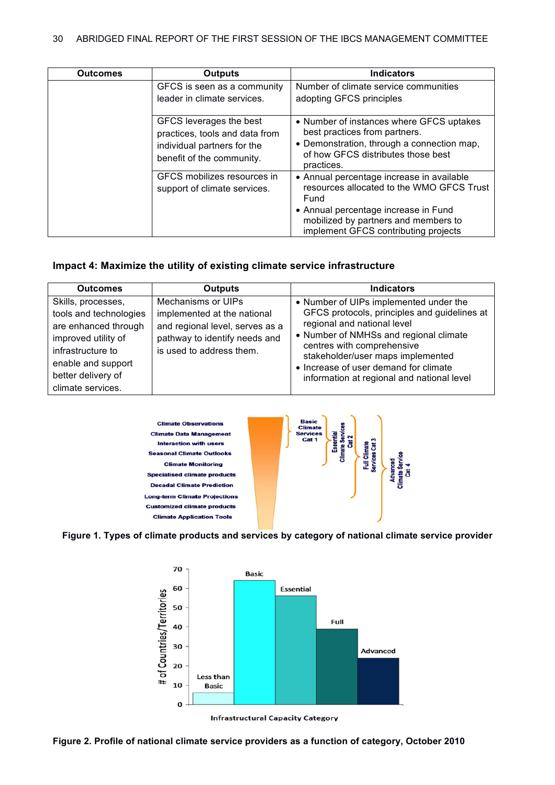| <b>Outcomes</b> | <b>Outputs</b>                                                                                                        | <b>Indicators</b>                                                                                                                                                                                                      |
|-----------------|-----------------------------------------------------------------------------------------------------------------------|------------------------------------------------------------------------------------------------------------------------------------------------------------------------------------------------------------------------|
|                 | GFCS is seen as a community<br>leader in climate services.                                                            | Number of climate service communities<br>adopting GFCS principles                                                                                                                                                      |
|                 | GFCS leverages the best<br>practices, tools and data from<br>individual partners for the<br>benefit of the community. | • Number of instances where GFCS uptakes<br>best practices from partners.<br>• Demonstration, through a connection map,<br>of how GFCS distributes those best<br>practices.                                            |
|                 | GFCS mobilizes resources in<br>support of climate services.                                                           | • Annual percentage increase in available<br>resources allocated to the WMO GFCS Trust<br>Fund<br>• Annual percentage increase in Fund<br>mobilized by partners and members to<br>implement GFCS contributing projects |

### **Impact 4: Maximize the utility of existing climate service infrastructure**

| <b>Outcomes</b>                                                                                                                                                                   | <b>Outputs</b>                                                                                                                                    | <b>Indicators</b>                                                                                                                                                                                                                                                                                                         |
|-----------------------------------------------------------------------------------------------------------------------------------------------------------------------------------|---------------------------------------------------------------------------------------------------------------------------------------------------|---------------------------------------------------------------------------------------------------------------------------------------------------------------------------------------------------------------------------------------------------------------------------------------------------------------------------|
| Skills, processes,<br>tools and technologies<br>are enhanced through<br>improved utility of<br>infrastructure to<br>enable and support<br>better delivery of<br>climate services. | Mechanisms or UIPs<br>implemented at the national<br>and regional level, serves as a<br>pathway to identify needs and<br>is used to address them. | • Number of UIPs implemented under the<br>GFCS protocols, principles and guidelines at<br>regional and national level<br>• Number of NMHSs and regional climate<br>centres with comprehensive<br>stakeholder/user maps implemented<br>• Increase of user demand for climate<br>information at regional and national level |



**Figure 1. Types of climate products and services by category of national climate service provider**



**Infrastructural Capacity Category** 

**Figure 2. Profile of national climate service providers as a function of category, October 2010**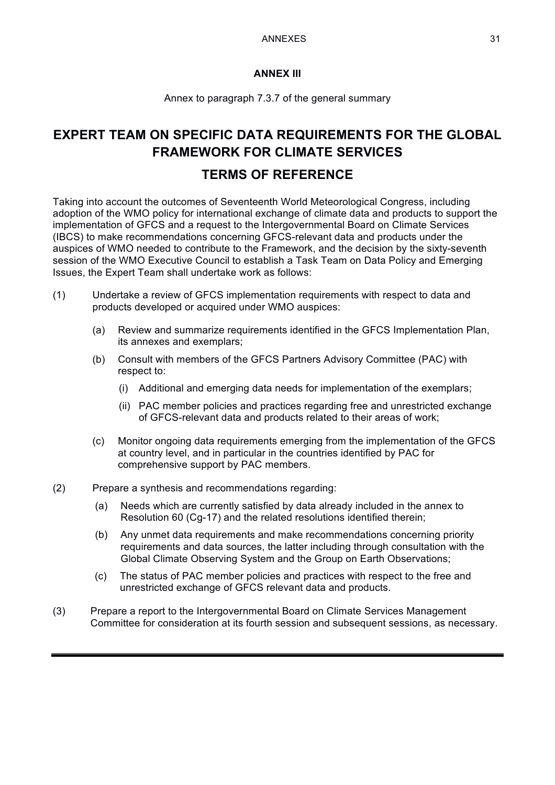### **ANNEX III**

### Annex to paragraph 7.3.7 of the general summary

# **EXPERT TEAM ON SPECIFIC DATA REQUIREMENTS FOR THE GLOBAL FRAMEWORK FOR CLIMATE SERVICES**

### **TERMS OF REFERENCE**

Taking into account the outcomes of Seventeenth World Meteorological Congress, including adoption of the WMO policy for international exchange of climate data and products to support the implementation of GFCS and a request to the Intergovernmental Board on Climate Services (IBCS) to make recommendations concerning GFCS-relevant data and products under the auspices of WMO needed to contribute to the Framework, and the decision by the sixty-seventh session of the WMO Executive Council to establish a Task Team on Data Policy and Emerging Issues, the Expert Team shall undertake work as follows:

- (1) Undertake a review of GFCS implementation requirements with respect to data and products developed or acquired under WMO auspices:
	- (a) Review and summarize requirements identified in the GFCS Implementation Plan, its annexes and exemplars;
	- (b) Consult with members of the GFCS Partners Advisory Committee (PAC) with respect to:
		- (i) Additional and emerging data needs for implementation of the exemplars;
		- (ii) PAC member policies and practices regarding free and unrestricted exchange of GFCS-relevant data and products related to their areas of work;
	- (c) Monitor ongoing data requirements emerging from the implementation of the GFCS at country level, and in particular in the countries identified by PAC for comprehensive support by PAC members.
- (2) Prepare a synthesis and recommendations regarding:
	- (a) Needs which are currently satisfied by data already included in the annex to Resolution 60 (Cg-17) and the related resolutions identified therein;
	- (b) Any unmet data requirements and make recommendations concerning priority requirements and data sources, the latter including through consultation with the Global Climate Observing System and the Group on Earth Observations;
	- (c) The status of PAC member policies and practices with respect to the free and unrestricted exchange of GFCS relevant data and products.
- (3) Prepare a report to the Intergovernmental Board on Climate Services Management Committee for consideration at its fourth session and subsequent sessions, as necessary.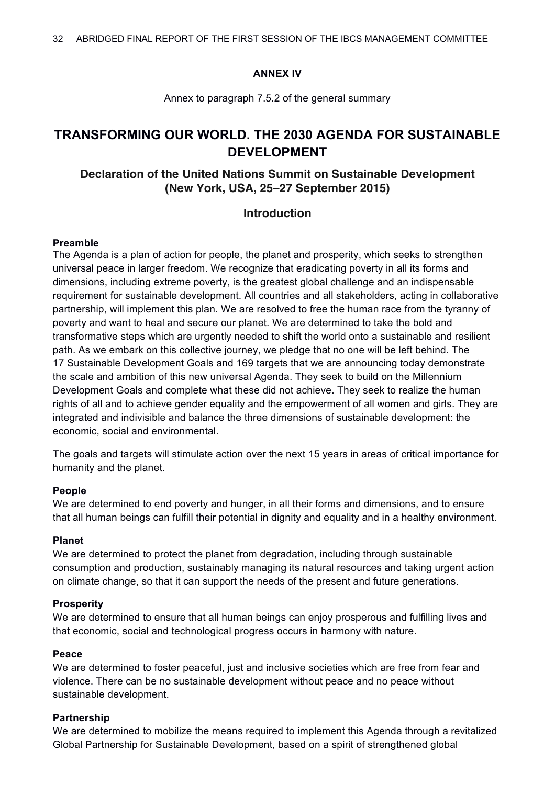### **ANNEX IV**

Annex to paragraph 7.5.2 of the general summary

### **TRANSFORMING OUR WORLD. THE 2030 AGENDA FOR SUSTAINABLE DEVELOPMENT**

### **Declaration of the United Nations Summit on Sustainable Development (New York, USA, 25–27 September 2015)**

### **Introduction**

### **Preamble**

The Agenda is a plan of action for people, the planet and prosperity, which seeks to strengthen universal peace in larger freedom. We recognize that eradicating poverty in all its forms and dimensions, including extreme poverty, is the greatest global challenge and an indispensable requirement for sustainable development. All countries and all stakeholders, acting in collaborative partnership, will implement this plan. We are resolved to free the human race from the tyranny of poverty and want to heal and secure our planet. We are determined to take the bold and transformative steps which are urgently needed to shift the world onto a sustainable and resilient path. As we embark on this collective journey, we pledge that no one will be left behind. The 17 Sustainable Development Goals and 169 targets that we are announcing today demonstrate the scale and ambition of this new universal Agenda. They seek to build on the Millennium Development Goals and complete what these did not achieve. They seek to realize the human rights of all and to achieve gender equality and the empowerment of all women and girls. They are integrated and indivisible and balance the three dimensions of sustainable development: the economic, social and environmental.

The goals and targets will stimulate action over the next 15 years in areas of critical importance for humanity and the planet.

### **People**

We are determined to end poverty and hunger, in all their forms and dimensions, and to ensure that all human beings can fulfill their potential in dignity and equality and in a healthy environment.

### **Planet**

We are determined to protect the planet from degradation, including through sustainable consumption and production, sustainably managing its natural resources and taking urgent action on climate change, so that it can support the needs of the present and future generations.

### **Prosperity**

We are determined to ensure that all human beings can enjoy prosperous and fulfilling lives and that economic, social and technological progress occurs in harmony with nature.

### **Peace**

We are determined to foster peaceful, just and inclusive societies which are free from fear and violence. There can be no sustainable development without peace and no peace without sustainable development.

### **Partnership**

We are determined to mobilize the means required to implement this Agenda through a revitalized Global Partnership for Sustainable Development, based on a spirit of strengthened global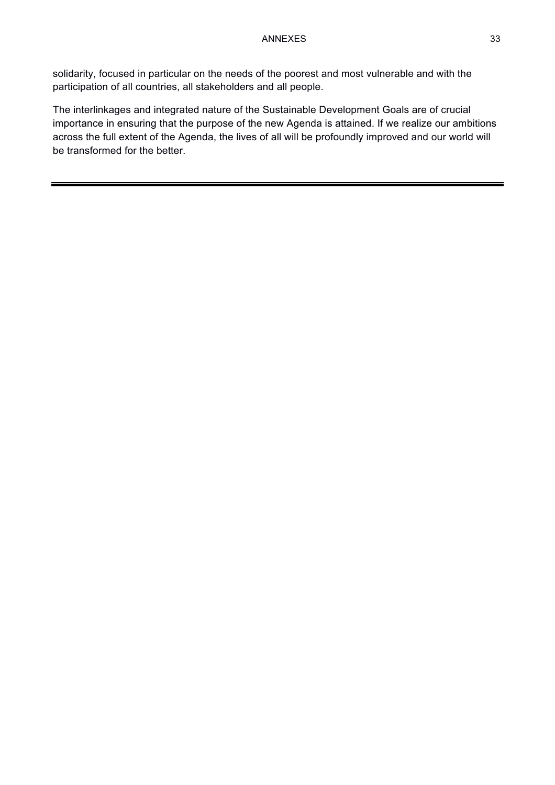solidarity, focused in particular on the needs of the poorest and most vulnerable and with the participation of all countries, all stakeholders and all people.

The interlinkages and integrated nature of the Sustainable Development Goals are of crucial importance in ensuring that the purpose of the new Agenda is attained. If we realize our ambitions across the full extent of the Agenda, the lives of all will be profoundly improved and our world will be transformed for the better.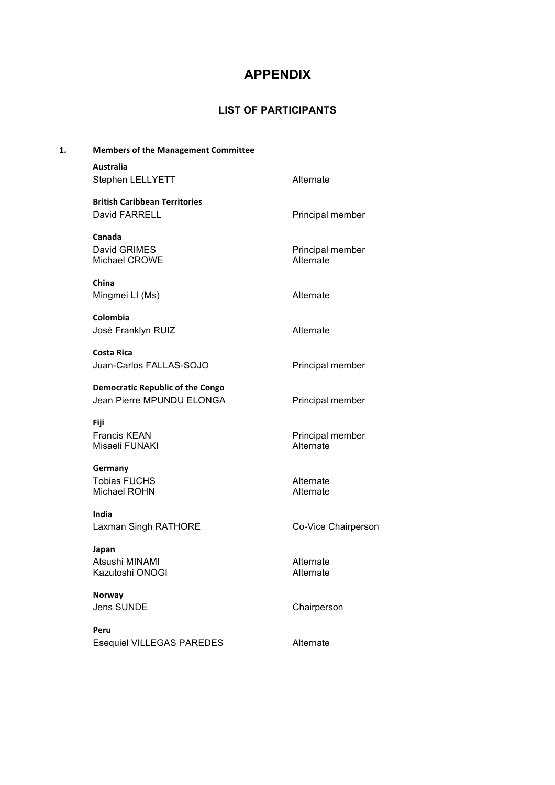### **APPENDIX**

### **LIST OF PARTICIPANTS**

1. Members of the Management Committee **Australia** Stephen LELLYETT Alternate **British Caribbean Territories** David FARRELL Principal member **Canada** David GRIMES<br>
Michael CROWE<br>
Alternate<br>
Alternate Michael CROWE **China** Mingmei LI (Ms) and a set of the Mingmei LI (Ms) and a set of the Alternate **Colombia** José Franklyn RUIZ **Alternate Costa 
 Rica** Juan-Carlos FALLAS-SOJO Principal member **Democratic Republic of the Congo** Jean Pierre MPUNDU ELONGA Principal member **Fiji** Francis KEAN Francis KEAN Principal member<br>
Misaeli FUNAKI Principal member Misaeli FUNAKI **Germany** Tobias FUCHS **Alternate** Michael ROHN Alternate **India** Laxman Singh RATHORE Co-Vice Chairperson **Japan** Atsushi MINAMI **Alternate** Kazutoshi ONOGI Alternate **Norway** Jens SUNDE **Chairperson Peru** Esequiel VILLEGAS PAREDES Alternate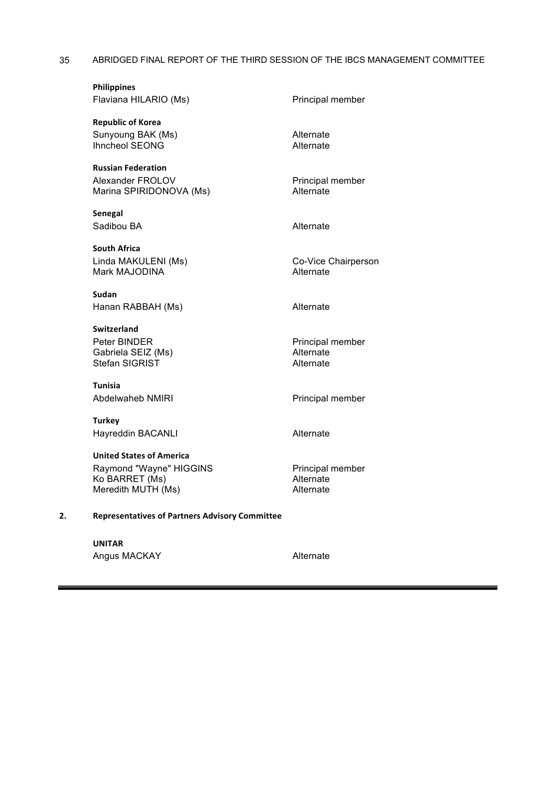35 ABRIDGED FINAL REPORT OF THE THIRD SESSION OF THE IBCS MANAGEMENT COMMITTEE

|    | <b>Philippines</b><br>Flaviana HILARIO (Ms)           | Principal member                 |
|----|-------------------------------------------------------|----------------------------------|
|    | <b>Republic of Korea</b><br>Sunyoung BAK (Ms)         | Alternate                        |
|    | Ihncheol SEONG                                        | Alternate                        |
|    | <b>Russian Federation</b><br>Alexander FROLOV         | Principal member                 |
|    | Marina SPIRIDONOVA (Ms)                               | Alternate                        |
|    | Senegal                                               |                                  |
|    | Sadibou BA                                            | Alternate                        |
|    | <b>South Africa</b>                                   |                                  |
|    | Linda MAKULENI (Ms)<br>Mark MAJODINA                  | Co-Vice Chairperson<br>Alternate |
|    | Sudan                                                 |                                  |
|    | Hanan RABBAH (Ms)                                     | Alternate                        |
|    | <b>Switzerland</b>                                    |                                  |
|    | Peter BINDER                                          | Principal member                 |
|    | Gabriela SEIZ (Ms)<br>Stefan SIGRIST                  | Alternate<br>Alternate           |
|    |                                                       |                                  |
|    | <b>Tunisia</b><br>Abdelwaheb NMIRI                    | Principal member                 |
|    |                                                       |                                  |
|    | <b>Turkey</b>                                         |                                  |
|    | Hayreddin BACANLI                                     | Alternate                        |
|    | <b>United States of America</b>                       |                                  |
|    | Raymond "Wayne" HIGGINS                               | Principal member                 |
|    | Ko BARRET (Ms)                                        | Alternate                        |
|    | Meredith MUTH (Ms)                                    | Alternate                        |
| 2. | <b>Representatives of Partners Advisory Committee</b> |                                  |
|    |                                                       |                                  |

**UNITAR** Angus MACKAY **Alternate**